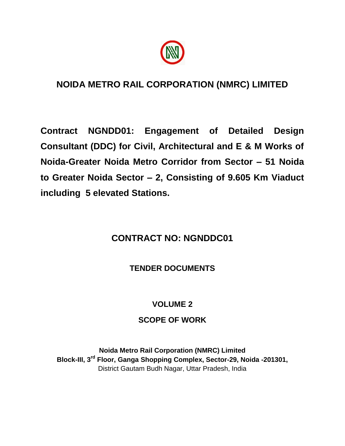

# **NOIDA METRO RAIL CORPORATION (NMRC) LIMITED**

**Contract NGNDD01: Engagement of Detailed Design Consultant (DDC) for Civil, Architectural and E & M Works of Noida-Greater Noida Metro Corridor from Sector – 51 Noida to Greater Noida Sector – 2, Consisting of 9.605 Km Viaduct including 5 elevated Stations.**

# **CONTRACT NO: NGNDDC01**

# **TENDER DOCUMENTS**

# **VOLUME 2**

# **SCOPE OF WORK**

**Noida Metro Rail Corporation (NMRC) Limited Block-III, 3rd Floor, Ganga Shopping Complex, Sector-29, Noida -201301,** District Gautam Budh Nagar, Uttar Pradesh, India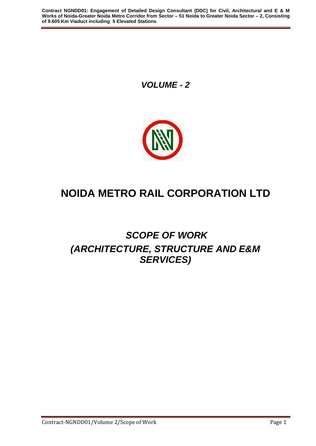*VOLUME - 2*



# **NOIDA METRO RAIL CORPORATION LTD**

# *SCOPE OF WORK (ARCHITECTURE, STRUCTURE AND E&M SERVICES)*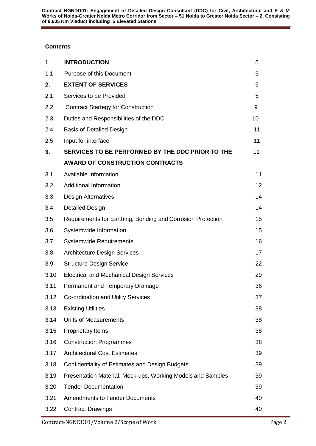# **Contents**

| 1    | <b>INTRODUCTION</b>                                         | 5  |
|------|-------------------------------------------------------------|----|
| 1.1  | Purpose of this Document                                    | 5  |
| 2.   | <b>EXTENT OF SERVICES</b>                                   | 5  |
| 2.1  | Services to be Provided                                     | 5  |
| 2.2  | <b>Contract Startegy for Construction</b>                   | 9  |
| 2.3  | Duties and Responsibilities of the DDC                      | 10 |
| 2.4  | <b>Basis of Detailed Design</b>                             | 11 |
| 2.5  | Input for interface                                         | 11 |
| 3.   | SERVICES TO BE PERFORMED BY THE DDC PRIOR TO THE            | 11 |
|      | <b>AWARD OF CONSTRUCTION CONTRACTS</b>                      |    |
| 3.1  | Available Information                                       | 11 |
| 3.2  | <b>Additional Information</b>                               | 12 |
| 3.3  | <b>Design Alternatives</b>                                  | 14 |
| 3.4  | <b>Detailed Design</b>                                      | 14 |
| 3.5  | Requirements for Earthing, Bonding and Corrosion Protection | 15 |
| 3.6  | Systemwide Information                                      | 15 |
| 3.7  | <b>Systemwide Requirements</b>                              | 16 |
| 3.8  | <b>Architecture Design Services</b>                         | 17 |
| 3.9  | <b>Structure Design Service</b>                             | 22 |
| 3.10 | <b>Electrical and Mechanical Design Services</b>            | 29 |
| 3.11 | Permanent and Temporary Drainage                            | 36 |
| 3.12 | Co-ordination and Utility Services                          | 37 |
| 3.13 | <b>Existing Utilities</b>                                   | 38 |
| 3.14 | <b>Units of Measurements</b>                                | 38 |
| 3.15 | <b>Proprietary Items</b>                                    | 38 |
| 3.16 | <b>Construction Programmes</b>                              | 38 |
| 3.17 | <b>Architectural Cost Estimates</b>                         | 39 |
| 3.18 | <b>Confidentiality of Estimates and Design Budgets</b>      | 39 |
| 3.19 | Presentation Material, Mock-ups, Working Models and Samples | 39 |
| 3.20 | <b>Tender Documentation</b>                                 | 39 |
| 3.21 | <b>Amendments to Tender Documents</b>                       | 40 |
| 3.22 | <b>Contract Drawings</b>                                    | 40 |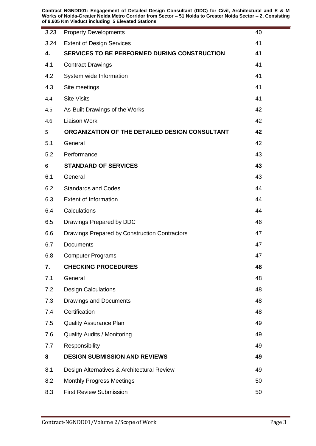**Contract NGNDD01: Engagement of Detailed Design Consultant (DDC) for Civil, Architectural and E & M Works of Noida-Greater Noida Metro Corridor from Sector – 51 Noida to Greater Noida Sector – 2, Consisting of 9.605 Km Viaduct including 5 Elevated Stations**

| 3.23 | <b>Property Developments</b>                   | 40 |
|------|------------------------------------------------|----|
| 3.24 | <b>Extent of Design Services</b>               | 41 |
| 4.   | SERVICES TO BE PERFORMED DURING CONSTRUCTION   |    |
| 4.1  | <b>Contract Drawings</b>                       |    |
| 4.2  | System wide Information                        | 41 |
| 4.3  | Site meetings                                  |    |
| 4.4  | <b>Site Visits</b>                             |    |
| 4.5  | As-Built Drawings of the Works                 |    |
| 4.6  | <b>Liaison Work</b>                            |    |
| 5    | ORGANIZATION OF THE DETAILED DESIGN CONSULTANT |    |
| 5.1  | General                                        | 42 |
| 5.2  | Performance                                    | 43 |
| 6    | <b>STANDARD OF SERVICES</b>                    | 43 |
| 6.1  | General                                        | 43 |
| 6.2  | <b>Standards and Codes</b>                     | 44 |
| 6.3  | <b>Extent of Information</b>                   | 44 |
| 6.4  | Calculations                                   | 44 |
| 6.5  | Drawings Prepared by DDC                       | 46 |
| 6.6  | Drawings Prepared by Construction Contractors  | 47 |
| 6.7  | Documents                                      |    |
| 6.8  | <b>Computer Programs</b>                       | 47 |
| 7.   | <b>CHECKING PROCEDURES</b>                     | 48 |
| 7.1  | General                                        | 48 |
| 7.2  | <b>Design Calculations</b>                     | 48 |
| 7.3  | <b>Drawings and Documents</b>                  | 48 |
| 7.4  | Certification                                  | 48 |
| 7.5  | <b>Quality Assurance Plan</b>                  | 49 |
| 7.6  | <b>Quality Audits / Monitoring</b>             | 49 |
| 7.7  | Responsibility                                 | 49 |
| 8    | <b>DESIGN SUBMISSION AND REVIEWS</b>           | 49 |
| 8.1  | Design Alternatives & Architectural Review     | 49 |
| 8.2  | <b>Monthly Progress Meetings</b>               | 50 |
| 8.3  | <b>First Review Submission</b>                 | 50 |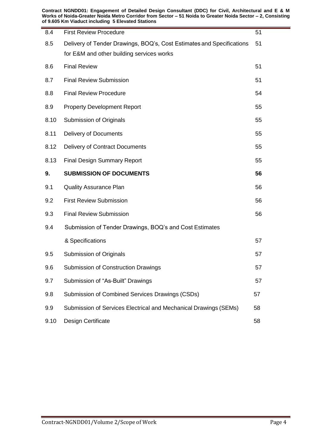**Contract NGNDD01: Engagement of Detailed Design Consultant (DDC) for Civil, Architectural and E & M Works of Noida-Greater Noida Metro Corridor from Sector – 51 Noida to Greater Noida Sector – 2, Consisting of 9.605 Km Viaduct including 5 Elevated Stations**

| 8.4  | <b>First Review Procedure</b>                                         |    |
|------|-----------------------------------------------------------------------|----|
| 8.5  | Delivery of Tender Drawings, BOQ's, Cost Estimates and Specifications | 51 |
|      | for E&M and other building services works                             |    |
| 8.6  | <b>Final Review</b>                                                   | 51 |
| 8.7  | <b>Final Review Submission</b>                                        | 51 |
| 8.8  | <b>Final Review Procedure</b>                                         | 54 |
| 8.9  | <b>Property Development Report</b>                                    | 55 |
| 8.10 | Submission of Originals                                               | 55 |
| 8.11 | <b>Delivery of Documents</b>                                          | 55 |
| 8.12 | Delivery of Contract Documents                                        | 55 |
| 8.13 | <b>Final Design Summary Report</b>                                    | 55 |
| 9.   | <b>SUBMISSION OF DOCUMENTS</b>                                        | 56 |
| 9.1  | <b>Quality Assurance Plan</b>                                         | 56 |
| 9.2  | <b>First Review Submission</b>                                        | 56 |
| 9.3  | <b>Final Review Submission</b>                                        | 56 |
| 9.4  | Submission of Tender Drawings, BOQ's and Cost Estimates               |    |
|      | & Specifications                                                      | 57 |
| 9.5  | Submission of Originals                                               | 57 |
| 9.6  | Submission of Construction Drawings                                   | 57 |
| 9.7  | Submission of "As-Built" Drawings                                     | 57 |
| 9.8  | Submission of Combined Services Drawings (CSDs)                       | 57 |
| 9.9  | Submission of Services Electrical and Mechanical Drawings (SEMs)      | 58 |
| 9.10 | Design Certificate                                                    | 58 |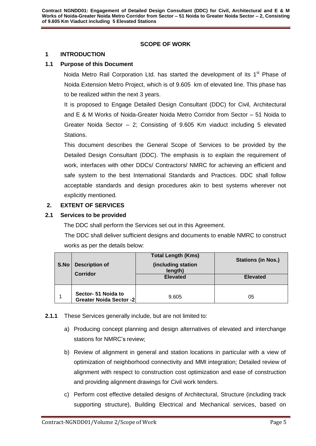# **SCOPE OF WORK**

#### <span id="page-5-0"></span>**1 INTRODUCTION**

#### <span id="page-5-1"></span>**1.1 Purpose of this Document**

Noida Metro Rail Corporation Ltd. has started the development of its 1<sup>st</sup> Phase of Noida Extension Metro Project, which is of 9.605 km of elevated line. This phase has to be realized within the next 3 years.

It is proposed to Engage Detailed Design Consultant (DDC) for Civil, Architectural and E & M Works of Noida-Greater Noida Metro Corridor from Sector – 51 Noida to Greater Noida Sector – 2; Consisting of 9.605 Km viaduct including 5 elevated Stations.

This document describes the General Scope of Services to be provided by the Detailed Design Consultant (DDC). The emphasis is to explain the requirement of work, interfaces with other DDCs/ Contractors/ NMRC for achieving an efficient and safe system to the best International Standards and Practices. DDC shall follow acceptable standards and design procedures akin to best systems wherever not explicitly mentioned.

### <span id="page-5-2"></span>**2. EXTENT OF SERVICES**

# <span id="page-5-3"></span>**2.1 Services to be provided**

The DDC shall perform the Services set out in this Agreement.

The DDC shall deliver sufficient designs and documents to enable NMRC to construct works as per the details below:

| S.No | <b>Description of</b><br>Corridor                     | <b>Total Length (Kms)</b><br>(including station<br>length)<br><b>Elevated</b> | <b>Stations (in Nos.)</b><br><b>Elevated</b> |
|------|-------------------------------------------------------|-------------------------------------------------------------------------------|----------------------------------------------|
|      | Sector- 51 Noida to<br><b>Greater Noida Sector -2</b> | 9.605                                                                         | 05                                           |

- **2.1.1** These Services generally include, but are not limited to:
	- a) Producing concept planning and design alternatives of elevated and interchange stations for NMRC's review;
	- b) Review of alignment in general and station locations in particular with a view of optimization of neighborhood connectivity and MMI integration; Detailed review of alignment with respect to construction cost optimization and ease of construction and providing alignment drawings for Civil work tenders.
	- c) Perform cost effective detailed designs of Architectural, Structure (including track supporting structure), Building Electrical and Mechanical services, based on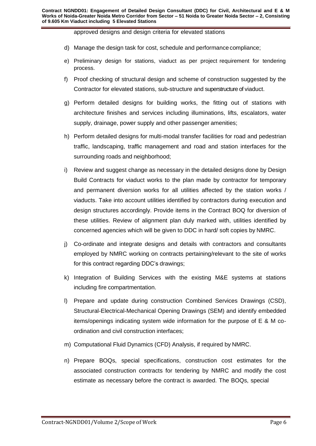approved designs and design criteria for elevated stations

- d) Manage the design task for cost, schedule and performance compliance;
- e) Preliminary design for stations, viaduct as per project requirement for tendering process.
- f) Proof checking of structural design and scheme of construction suggested by the Contractor for elevated stations, sub-structure and superstructure of viaduct.
- g) Perform detailed designs for building works, the fitting out of stations with architecture finishes and services including illuminations, lifts, escalators, water supply, drainage, power supply and other passenger amenities;
- h) Perform detailed designs for multi-modal transfer facilities for road and pedestrian traffic, landscaping, traffic management and road and station interfaces for the surrounding roads and neighborhood;
- i) Review and suggest change as necessary in the detailed designs done by Design Build Contracts for viaduct works to the plan made by contractor for temporary and permanent diversion works for all utilities affected by the station works / viaducts. Take into account utilities identified by contractors during execution and design structures accordingly. Provide items in the Contract BOQ for diversion of these utilities. Review of alignment plan duly marked with, utilities identified by concerned agencies which will be given to DDC in hard/ soft copies by NMRC.
- j) Co-ordinate and integrate designs and details with contractors and consultants employed by NMRC working on contracts pertaining/relevant to the site of works for this contract regarding DDC's drawings;
- k) Integration of Building Services with the existing M&E systems at stations including fire compartmentation.
- l) Prepare and update during construction Combined Services Drawings (CSD), Structural-Electrical-Mechanical Opening Drawings (SEM) and identify embedded items/openings indicating system wide information for the purpose of E & M coordination and civil construction interfaces;
- m) Computational Fluid Dynamics (CFD) Analysis, if required by NMRC.
- n) Prepare BOQs, special specifications, construction cost estimates for the associated construction contracts for tendering by NMRC and modify the cost estimate as necessary before the contract is awarded. The BOQs, special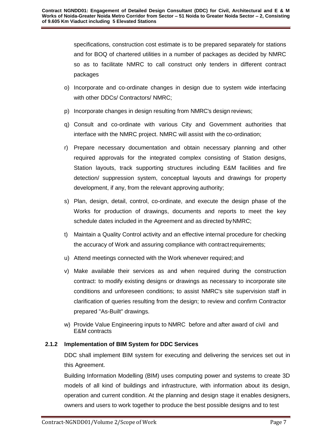specifications, construction cost estimate is to be prepared separately for stations and for BOQ of chartered utilities in a number of packages as decided by NMRC so as to facilitate NMRC to call construct only tenders in different contract packages

- o) Incorporate and co-ordinate changes in design due to system wide interfacing with other DDCs/ Contractors/ NMRC;
- p) Incorporate changes in design resulting from NMRC's design reviews;
- q) Consult and co-ordinate with various City and Government authorities that interface with the NMRC project. NMRC will assist with the co-ordination;
- r) Prepare necessary documentation and obtain necessary planning and other required approvals for the integrated complex consisting of Station designs, Station layouts, track supporting structures including E&M facilities and fire detection/ suppression system, conceptual layouts and drawings for property development, if any, from the relevant approving authority;
- s) Plan, design, detail, control, co-ordinate, and execute the design phase of the Works for production of drawings, documents and reports to meet the key schedule dates included in the Agreement and as directed by NMRC;
- t) Maintain a Quality Control activity and an effective internal procedure for checking the accuracy of Work and assuring compliance with contractrequirements;
- u) Attend meetings connected with the Work whenever required; and
- v) Make available their services as and when required during the construction contract: to modify existing designs or drawings as necessary to incorporate site conditions and unforeseen conditions; to assist NMRC's site supervision staff in clarification of queries resulting from the design; to review and confirm Contractor prepared "As-Built" drawings.
- w) Provide Value Engineering inputs to NMRC before and after award of civil and E&M contracts

# **2.1.2 Implementation of BIM System for DDC Services**

DDC shall implement BIM system for executing and delivering the services set out in this Agreement.

Building Information Modelling (BIM) uses computing power and systems to create 3D models of all kind of buildings and infrastructure, with information about its design, operation and current condition. At the planning and design stage it enables designers, owners and users to work together to produce the best possible designs and to test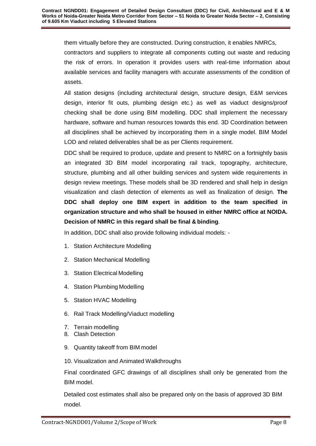them virtually before they are constructed. During construction, it enables NMRCs,

contractors and suppliers to integrate all components cutting out waste and reducing the risk of errors. In operation it provides users with real-time information about available services and facility managers with accurate assessments of the condition of assets.

All station designs (including architectural design, structure design, E&M services design, interior fit outs, plumbing design etc.) as well as viaduct designs/proof checking shall be done using BIM modelling. DDC shall implement the necessary hardware, software and human resources towards this end. 3D Coordination between all disciplines shall be achieved by incorporating them in a single model. BIM Model LOD and related deliverables shall be as per Clients requirement.

DDC shall be required to produce, update and present to NMRC on a fortnightly basis an integrated 3D BIM model incorporating rail track, topography, architecture, structure, plumbing and all other building services and system wide requirements in design review meetings. These models shall be 3D rendered and shall help in design visualization and clash detection of elements as well as finalization of design. **The DDC shall deploy one BIM expert in addition to the team specified in organization structure and who shall be housed in either NMRC office at NOIDA. Decision of NMRC in this regard shall be final & binding**.

In addition, DDC shall also provide following individual models: -

- 1. Station Architecture Modelling
- 2. Station Mechanical Modelling
- 3. Station Electrical Modelling
- 4. Station Plumbing Modelling
- 5. Station HVAC Modelling
- 6. Rail Track Modelling/Viaduct modelling
- 7. Terrain modelling
- 8. Clash Detection
- 9. Quantity takeoff from BIM model
- 10. Visualization and Animated Walkthroughs

Final coordinated GFC drawings of all disciplines shall only be generated from the BIM model.

Detailed cost estimates shall also be prepared only on the basis of approved 3D BIM model.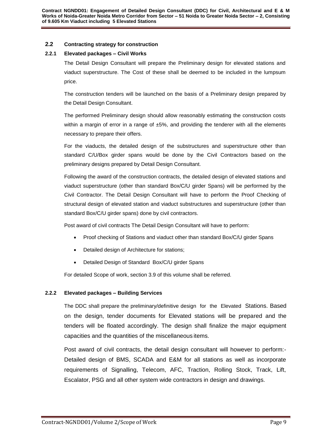#### **2.2 Contracting strategy for construction**

#### **2.2.1 Elevated packages – Civil Works**

The Detail Design Consultant will prepare the Preliminary design for elevated stations and viaduct superstructure. The Cost of these shall be deemed to be included in the lumpsum price.

The construction tenders will be launched on the basis of a Preliminary design prepared by the Detail Design Consultant.

The performed Preliminary design should allow reasonably estimating the construction costs within a margin of error in a range of  $\pm 5\%$ , and providing the tenderer with all the elements necessary to prepare their offers.

For the viaducts, the detailed design of the substructures and superstructure other than standard C/U/Box girder spans would be done by the Civil Contractors based on the preliminary designs prepared by Detail Design Consultant.

Following the award of the construction contracts, the detailed design of elevated stations and viaduct superstructure (other than standard Box/C/U girder Spans) will be performed by the Civil Contractor. The Detail Design Consultant will have to perform the Proof Checking of structural design of elevated station and viaduct substructures and superstructure (other than standard Box/C/U girder spans) done by civil contractors.

Post award of civil contracts The Detail Design Consultant will have to perform:

- Proof checking of Stations and viaduct other than standard Box/C/U girder Spans
- Detailed design of Architecture for stations;
- Detailed Design of Standard Box/C/U girder Spans

For detailed Scope of work, section 3.9 of this volume shall be referred.

#### **2.2.2 Elevated packages – Building Services**

The DDC shall prepare the preliminary/definitive design for the Elevated Stations. Based on the design, tender documents for Elevated stations will be prepared and the tenders will be floated accordingly. The design shall finalize the major equipment capacities and the quantities of the miscellaneous items.

Post award of civil contracts, the detail design consultant will however to perform:- Detailed design of BMS, SCADA and E&M for all stations as well as incorporate requirements of Signalling, Telecom, AFC, Traction, Rolling Stock, Track, Lift, Escalator, PSG and all other system wide contractors in design and drawings.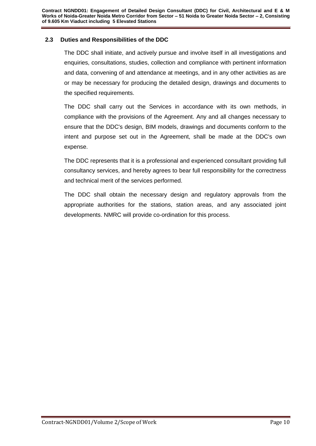# <span id="page-10-0"></span>**2.3 Duties and Responsibilities of the DDC**

The DDC shall initiate, and actively pursue and involve itself in all investigations and enquiries, consultations, studies, collection and compliance with pertinent information and data, convening of and attendance at meetings, and in any other activities as are or may be necessary for producing the detailed design, drawings and documents to the specified requirements.

The DDC shall carry out the Services in accordance with its own methods, in compliance with the provisions of the Agreement. Any and all changes necessary to ensure that the DDC's design, BIM models, drawings and documents conform to the intent and purpose set out in the Agreement, shall be made at the DDC's own expense.

The DDC represents that it is a professional and experienced consultant providing full consultancy services, and hereby agrees to bear full responsibility for the correctness and technical merit of the services performed.

The DDC shall obtain the necessary design and regulatory approvals from the appropriate authorities for the stations, station areas, and any associated joint developments. NMRC will provide co-ordination for this process.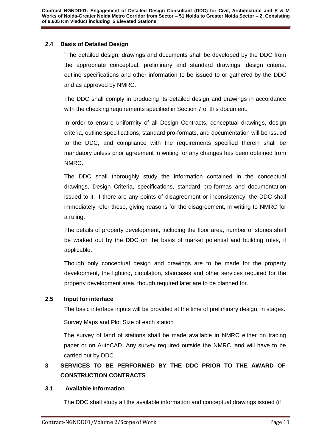# <span id="page-11-0"></span>**2.4 Basis of Detailed Design**

`The detailed design, drawings and documents shall be developed by the DDC from the appropriate conceptual, preliminary and standard drawings, design criteria, outline specifications and other information to be issued to or gathered by the DDC and as approved by NMRC.

The DDC shall comply in producing its detailed design and drawings in accordance with the checking requirements specified in Section 7 of this document.

In order to ensure uniformity of all Design Contracts, conceptual drawings, design criteria, outline specifications, standard pro-formats, and documentation will be issued to the DDC, and compliance with the requirements specified therein shall be mandatory unless prior agreement in writing for any changes has been obtained from NMRC.

The DDC shall thoroughly study the information contained in the conceptual drawings, Design Criteria, specifications, standard pro-formas and documentation issued to it. If there are any points of disagreement or inconsistency, the DDC shall immediately refer these, giving reasons for the disagreement, in writing to NMRC for a ruling.

The details of property development, including the floor area, number of stories shall be worked out by the DDC on the basis of market potential and building rules, if applicable.

Though only conceptual design and drawings are to be made for the property development, the lighting, circulation, staircases and other services required for the property development area, though required later are to be planned for.

# <span id="page-11-1"></span>**2.5 Input for interface**

The basic interface inputs will be provided at the time of preliminary design, in stages.

Survey Maps and Plot Size of each station

The survey of land of stations shall be made available in NMRC either on tracing paper or on AutoCAD. Any survey required outside the NMRC land will have to be carried out by DDC.

# **3 SERVICES TO BE PERFORMED BY THE DDC PRIOR TO THE AWARD OF CONSTRUCTION CONTRACTS**

# <span id="page-11-2"></span>**3.1 Available Information**

The DDC shall study all the available information and conceptual drawings issued (if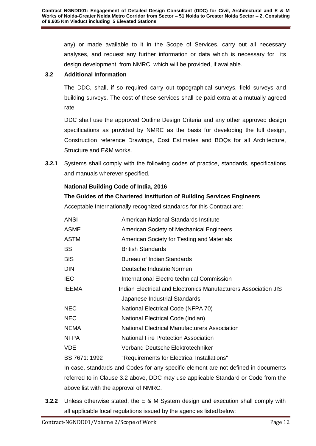any) or made available to it in the Scope of Services, carry out all necessary analyses, and request any further information or data which is necessary for its design development, from NMRC, which will be provided, if available.

# <span id="page-12-0"></span>**3.2 Additional Information**

The DDC, shall, if so required carry out topographical surveys, field surveys and building surveys. The cost of these services shall be paid extra at a mutually agreed rate.

DDC shall use the approved Outline Design Criteria and any other approved design specifications as provided by NMRC as the basis for developing the full design, Construction reference Drawings, Cost Estimates and BOQs for all Architecture, Structure and E&M works.

**3.2.1** Systems shall comply with the following codes of practice, standards, specifications and manuals wherever specified.

# **National Building Code of India, 2016**

# **The Guides of the Chartered Institution of Building Services Engineers**

Acceptable Internationally recognized standards for this Contract are:

| <b>ANSI</b>   | American National Standards Institute                           |
|---------------|-----------------------------------------------------------------|
| <b>ASME</b>   | American Society of Mechanical Engineers                        |
| ASTM          | American Society for Testing and Materials                      |
| <b>BS</b>     | <b>British Standards</b>                                        |
| <b>BIS</b>    | Bureau of Indian Standards                                      |
| <b>DIN</b>    | Deutsche Industrie Normen                                       |
| <b>IEC</b>    | International Electro technical Commission                      |
| <b>IEEMA</b>  | Indian Electrical and Electronics Manufacturers Association JIS |
|               | Japanese Industrial Standards                                   |
| <b>NEC</b>    | National Electrical Code (NFPA 70)                              |
| <b>NEC</b>    | National Electrical Code (Indian)                               |
| <b>NEMA</b>   | National Electrical Manufacturers Association                   |
| <b>NFPA</b>   | <b>National Fire Protection Association</b>                     |
| <b>VDE</b>    | Verband Deutsche Elektrotechniker                               |
| BS 7671: 1992 | "Requirements for Electrical Installations"                     |

In case, standards and Codes for any specific element are not defined in documents referred to in Clause 3.2 above, DDC may use applicable Standard or Code from the above list with the approval of NMRC.

**3.2.2** Unless otherwise stated, the E & M System design and execution shall comply with all applicable local regulations issued by the agencies listed below: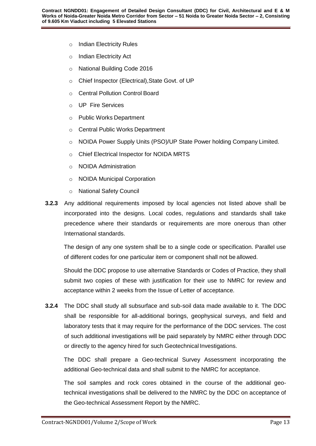- o Indian Electricity Rules
- o Indian Electricity Act
- o National Building Code 2016
- o Chief Inspector (Electrical),State Govt. of UP
- o Central Pollution Control Board
- o UP Fire Services
- o Public Works Department
- o Central Public Works Department
- o NOIDA Power Supply Units (PSO)/UP State Power holding Company Limited.
- o Chief Electrical Inspector for NOIDA MRTS
- o NOIDA Administration
- o NOIDA Municipal Corporation
- o National Safety Council
- **3.2.3** Any additional requirements imposed by local agencies not listed above shall be incorporated into the designs. Local codes, regulations and standards shall take precedence where their standards or requirements are more onerous than other International standards.

The design of any one system shall be to a single code or specification. Parallel use of different codes for one particular item or component shall not be allowed.

Should the DDC propose to use alternative Standards or Codes of Practice, they shall submit two copies of these with justification for their use to NMRC for review and acceptance within 2 weeks from the Issue of Letter of acceptance.

**3.2.4** The DDC shall study all subsurface and sub-soil data made available to it. The DDC shall be responsible for all-additional borings, geophysical surveys, and field and laboratory tests that it may require for the performance of the DDC services. The cost of such additional investigations will be paid separately by NMRC either through DDC or directly to the agency hired for such Geotechnical Investigations.

The DDC shall prepare a Geo-technical Survey Assessment incorporating the additional Geo-technical data and shall submit to the NMRC for acceptance.

The soil samples and rock cores obtained in the course of the additional geotechnical investigations shall be delivered to the NMRC by the DDC on acceptance of the Geo-technical Assessment Report by the NMRC.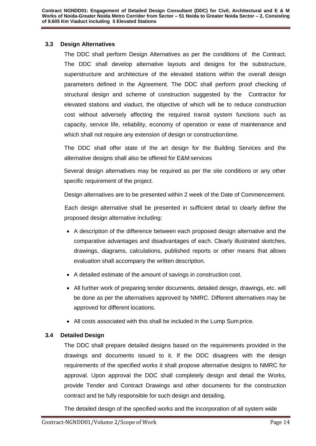## <span id="page-14-0"></span>**3.3 Design Alternatives**

The DDC shall perform Design Alternatives as per the conditions of the Contract. The DDC shall develop alternative layouts and designs for the substructure, superstructure and architecture of the elevated stations within the overall design parameters defined in the Agreement. The DDC shall perform proof checking of structural design and scheme of construction suggested by the Contractor for elevated stations and viaduct, the objective of which will be to reduce construction cost without adversely affecting the required transit system functions such as capacity, service life, reliability, economy of operation or ease of maintenance and which shall not require any extension of design or construction time.

The DDC shall offer state of the art design for the Building Services and the alternative designs shall also be offered for E&M services

Several design alternatives may be required as per the site conditions or any other specific requirement of the project.

Design alternatives are to be presented within 2 week of the Date of Commencement.

Each design alternative shall be presented in sufficient detail to clearly define the proposed design alternative including:

- A description of the difference between each proposed design alternative and the comparative advantages and disadvantages of each. Clearly illustrated sketches, drawings, diagrams, calculations, published reports or other means that allows evaluation shall accompany the written description.
- A detailed estimate of the amount of savings in construction cost.
- All further work of preparing tender documents, detailed design, drawings, etc. will be done as per the alternatives approved by NMRC. Different alternatives may be approved for different locations.
- All costs associated with this shall be included in the Lump Sum price.

# <span id="page-14-1"></span>**3.4 Detailed Design**

The DDC shall prepare detailed designs based on the requirements provided in the drawings and documents issued to it. If the DDC disagrees with the design requirements of the specified works it shall propose alternative designs to NMRC for approval. Upon approval the DDC shall completely design and detail the Works, provide Tender and Contract Drawings and other documents for the construction contract and be fully responsible for such design and detailing.

The detailed design of the specified works and the incorporation of all system wide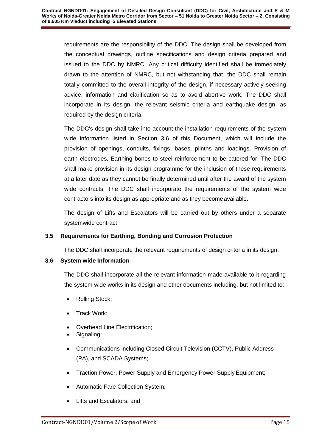requirements are the responsibility of the DDC. The design shall be developed from the conceptual drawings, outline specifications and design criteria prepared and issued to the DDC by NMRC. Any critical difficulty identified shall be immediately drawn to the attention of NMRC, but not withstanding that, the DDC shall remain totally committed to the overall integrity of the design, if necessary actively seeking advice, information and clarification so as to avoid abortive work. The DDC shall incorporate in its design, the relevant seismic criteria and earthquake design, as required by the design criteria.

The DDC's design shall take into account the installation requirements of the system wide information listed in Section 3.6 of this Document, which will include the provision of openings, conduits, fixings, bases, plinths and loadings. Provision of earth electrodes, Earthing bones to steel reinforcement to be catered for. The DDC shall make provision in its design programme for the inclusion of these requirements at a later date as they cannot be finally determined until after the award of the system wide contracts. The DDC shall incorporate the requirements of the system wide contractors into its design as appropriate and as they becomeavailable.

The design of Lifts and Escalators will be carried out by others under a separate systemwide contract.

# <span id="page-15-0"></span>**3.5 Requirements for Earthing, Bonding and Corrosion Protection**

The DDC shall incorporate the relevant requirements of design criteria in its design.

# <span id="page-15-1"></span>**3.6 System wide Information**

The DDC shall incorporate all the relevant information made available to it regarding the system wide works in its design and other documents including, but not limited to:

- Rolling Stock;
- Track Work;
- Overhead Line Electrification;
- Signaling;
- Communications including Closed Circuit Television (CCTV), Public Address (PA), and SCADA Systems;
- Traction Power, Power Supply and Emergency Power Supply Equipment;
- Automatic Fare Collection System;
- Lifts and Escalators; and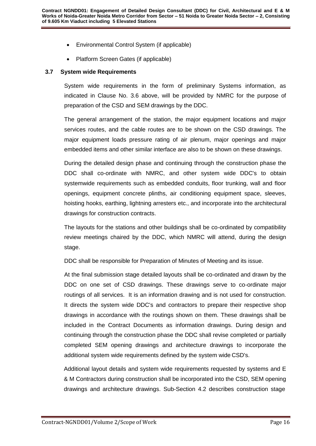- Environmental Control System (if applicable)
- Platform Screen Gates (if applicable)

#### <span id="page-16-0"></span>**3.7 System wide Requirements**

System wide requirements in the form of preliminary Systems information, as indicated in Clause No. 3.6 above, will be provided by NMRC for the purpose of preparation of the CSD and SEM drawings by the DDC.

The general arrangement of the station, the major equipment locations and major services routes, and the cable routes are to be shown on the CSD drawings. The major equipment loads pressure rating of air plenum, major openings and major embedded items and other similar interface are also to be shown on these drawings.

During the detailed design phase and continuing through the construction phase the DDC shall co-ordinate with NMRC, and other system wide DDC's to obtain systemwide requirements such as embedded conduits, floor trunking, wall and floor openings, equipment concrete plinths, air conditioning equipment space, sleeves, hoisting hooks, earthing, lightning arresters etc., and incorporate into the architectural drawings for construction contracts.

The layouts for the stations and other buildings shall be co-ordinated by compatibility review meetings chaired by the DDC, which NMRC will attend, during the design stage.

DDC shall be responsible for Preparation of Minutes of Meeting and its issue.

At the final submission stage detailed layouts shall be co-ordinated and drawn by the DDC on one set of CSD drawings. These drawings serve to co-ordinate major routings of all services. It is an information drawing and is not used for construction. It directs the system wide DDC's and contractors to prepare their respective shop drawings in accordance with the routings shown on them. These drawings shall be included in the Contract Documents as information drawings. During design and continuing through the construction phase the DDC shall revise completed or partially completed SEM opening drawings and architecture drawings to incorporate the additional system wide requirements defined by the system wide CSD's.

Additional layout details and system wide requirements requested by systems and E & M Contractors during construction shall be incorporated into the CSD, SEM opening drawings and architecture drawings. Sub-Section 4.2 describes construction stage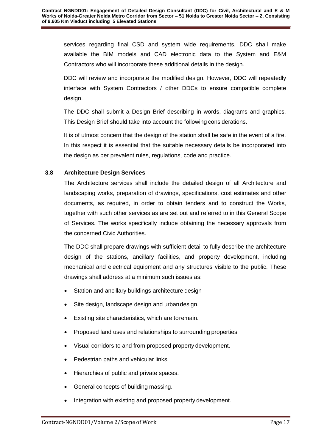services regarding final CSD and system wide requirements. DDC shall make available the BIM models and CAD electronic data to the System and E&M Contractors who will incorporate these additional details in the design.

DDC will review and incorporate the modified design. However, DDC will repeatedly interface with System Contractors / other DDCs to ensure compatible complete design.

The DDC shall submit a Design Brief describing in words, diagrams and graphics. This Design Brief should take into account the following considerations.

It is of utmost concern that the design of the station shall be safe in the event of a fire. In this respect it is essential that the suitable necessary details be incorporated into the design as per prevalent rules, regulations, code and practice.

# <span id="page-17-0"></span>**3.8 Architecture Design Services**

The Architecture services shall include the detailed design of all Architecture and landscaping works, preparation of drawings, specifications, cost estimates and other documents, as required, in order to obtain tenders and to construct the Works, together with such other services as are set out and referred to in this General Scope of Services. The works specifically include obtaining the necessary approvals from the concerned Civic Authorities.

The DDC shall prepare drawings with sufficient detail to fully describe the architecture design of the stations, ancillary facilities, and property development, including mechanical and electrical equipment and any structures visible to the public. These drawings shall address at a minimum such issues as:

- Station and ancillary buildings architecture design
- Site design, landscape design and urbandesign.
- Existing site characteristics, which are toremain.
- Proposed land uses and relationships to surrounding properties.
- Visual corridors to and from proposed property development.
- Pedestrian paths and vehicular links.
- Hierarchies of public and private spaces.
- General concepts of building massing.
- Integration with existing and proposed property development.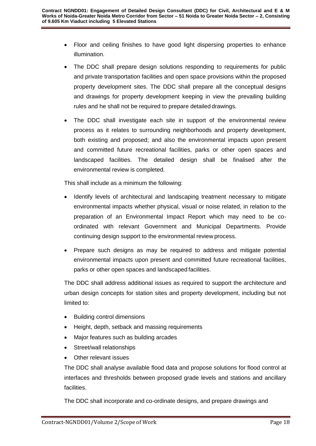- Floor and ceiling finishes to have good light dispersing properties to enhance illumination.
- The DDC shall prepare design solutions responding to requirements for public and private transportation facilities and open space provisions within the proposed property development sites. The DDC shall prepare all the conceptual designs and drawings for property development keeping in view the prevailing building rules and he shall not be required to prepare detailed drawings.
- The DDC shall investigate each site in support of the environmental review process as it relates to surrounding neighborhoods and property development, both existing and proposed; and also the environmental impacts upon present and committed future recreational facilities, parks or other open spaces and landscaped facilities. The detailed design shall be finalised after the environmental review is completed.

This shall include as a minimum the following:

- Identify levels of architectural and landscaping treatment necessary to mitigate environmental impacts whether physical, visual or noise related, in relation to the preparation of an Environmental Impact Report which may need to be coordinated with relevant Government and Municipal Departments. Provide continuing design support to the environmental review process.
- Prepare such designs as may be required to address and mitigate potential environmental impacts upon present and committed future recreational facilities, parks or other open spaces and landscaped facilities.

The DDC shall address additional issues as required to support the architecture and urban design concepts for station sites and property development, including but not limited to:

- Building control dimensions
- Height, depth, setback and massing requirements
- Major features such as building arcades
- Street/wall relationships
- Other relevant issues

The DDC shall analyse available flood data and propose solutions for flood control at interfaces and thresholds between proposed grade levels and stations and ancillary facilities.

The DDC shall incorporate and co-ordinate designs, and prepare drawings and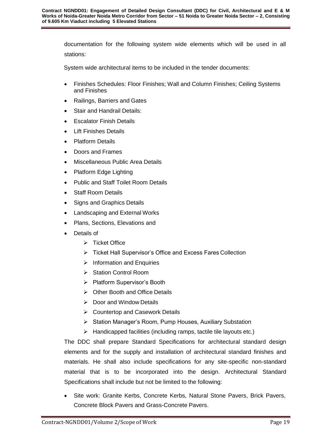documentation for the following system wide elements which will be used in all stations:

System wide architectural items to be included in the tender documents:

- Finishes Schedules: Floor Finishes; Wall and Column Finishes; Ceiling Systems and Finishes
- Railings, Barriers and Gates
- Stair and Handrail Details:
- **•** Escalator Finish Details
- Lift Finishes Details
- Platform Details
- Doors and Frames
- Miscellaneous Public Area Details
- Platform Edge Lighting
- Public and Staff Toilet Room Details
- Staff Room Details
- Signs and Graphics Details
- Landscaping and External Works
- Plans, Sections, Elevations and
- Details of
	- $\triangleright$  Ticket Office
	- Ticket Hall Supervisor's Office and Excess Fares Collection
	- $\triangleright$  Information and Enquiries
	- Station Control Room
	- ▶ Platform Supervisor's Booth
	- Other Booth and Office Details
	- $\triangleright$  Door and Window Details
	- Countertop and Casework Details
	- Station Manager's Room, Pump Houses, Auxiliary Substation
	- $\triangleright$  Handicapped facilities (including ramps, tactile tile layouts etc.)

The DDC shall prepare Standard Specifications for architectural standard design elements and for the supply and installation of architectural standard finishes and materials. He shall also include specifications for any site-specific non-standard material that is to be incorporated into the design. Architectural Standard Specifications shall include but not be limited to the following:

• Site work: Granite Kerbs, Concrete Kerbs, Natural Stone Pavers, Brick Pavers, Concrete Block Pavers and Grass-Concrete Pavers.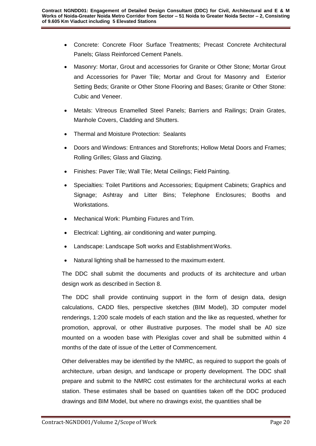- Concrete: Concrete Floor Surface Treatments; Precast Concrete Architectural Panels; Glass Reinforced Cement Panels.
- Masonry: Mortar, Grout and accessories for Granite or Other Stone; Mortar Grout and Accessories for Paver Tile; Mortar and Grout for Masonry and Exterior Setting Beds; Granite or Other Stone Flooring and Bases; Granite or Other Stone: Cubic and Veneer.
- Metals: Vitreous Enamelled Steel Panels; Barriers and Railings; Drain Grates, Manhole Covers, Cladding and Shutters.
- Thermal and Moisture Protection: Sealants
- Doors and Windows: Entrances and Storefronts; Hollow Metal Doors and Frames; Rolling Grilles; Glass and Glazing.
- Finishes: Paver Tile; Wall Tile; Metal Ceilings; Field Painting.
- Specialties: Toilet Partitions and Accessories; Equipment Cabinets; Graphics and Signage; Ashtray and Litter Bins; Telephone Enclosures; Booths and Workstations.
- Mechanical Work: Plumbing Fixtures and Trim.
- Electrical: Lighting, air conditioning and water pumping.
- Landscape: Landscape Soft works and Establishment Works.
- Natural lighting shall be harnessed to the maximum extent.

The DDC shall submit the documents and products of its architecture and urban design work as described in Section 8.

The DDC shall provide continuing support in the form of design data, design calculations, CADD files, perspective sketches (BIM Model), 3D computer model renderings, 1:200 scale models of each station and the like as requested, whether for promotion, approval, or other illustrative purposes. The model shall be A0 size mounted on a wooden base with Plexiglas cover and shall be submitted within 4 months of the date of issue of the Letter of Commencement.

Other deliverables may be identified by the NMRC, as required to support the goals of architecture, urban design, and landscape or property development. The DDC shall prepare and submit to the NMRC cost estimates for the architectural works at each station. These estimates shall be based on quantities taken off the DDC produced drawings and BIM Model, but where no drawings exist, the quantities shall be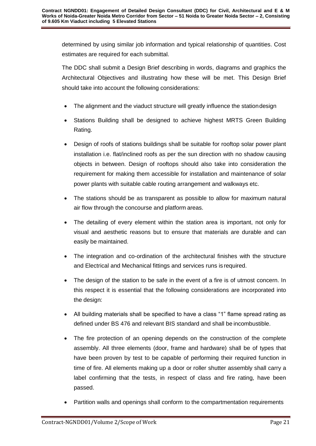determined by using similar job information and typical relationship of quantities. Cost estimates are required for each submittal.

The DDC shall submit a Design Brief describing in words, diagrams and graphics the Architectural Objectives and illustrating how these will be met. This Design Brief should take into account the following considerations:

- The alignment and the viaduct structure will greatly influence the stationdesign
- Stations Building shall be designed to achieve highest MRTS Green Building Rating.
- Design of roofs of stations buildings shall be suitable for rooftop solar power plant installation i.e. flat/inclined roofs as per the sun direction with no shadow causing objects in between. Design of rooftops should also take into consideration the requirement for making them accessible for installation and maintenance of solar power plants with suitable cable routing arrangement and walkways etc.
- The stations should be as transparent as possible to allow for maximum natural air flow through the concourse and platform areas.
- The detailing of every element within the station area is important, not only for visual and aesthetic reasons but to ensure that materials are durable and can easily be maintained.
- The integration and co-ordination of the architectural finishes with the structure and Electrical and Mechanical fittings and services runs is required.
- The design of the station to be safe in the event of a fire is of utmost concern. In this respect it is essential that the following considerations are incorporated into the design:
- All building materials shall be specified to have a class "1" flame spread rating as defined under BS 476 and relevant BIS standard and shall be incombustible.
- The fire protection of an opening depends on the construction of the complete assembly. All three elements (door, frame and hardware) shall be of types that have been proven by test to be capable of performing their required function in time of fire. All elements making up a door or roller shutter assembly shall carry a label confirming that the tests, in respect of class and fire rating, have been passed.
- Partition walls and openings shall conform to the compartmentation requirements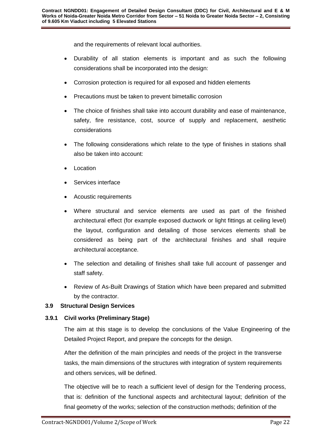and the requirements of relevant local authorities.

- Durability of all station elements is important and as such the following considerations shall be incorporated into the design:
- Corrosion protection is required for all exposed and hidden elements
- Precautions must be taken to prevent bimetallic corrosion
- The choice of finishes shall take into account durability and ease of maintenance, safety, fire resistance, cost, source of supply and replacement, aesthetic considerations
- The following considerations which relate to the type of finishes in stations shall also be taken into account:
- Location
- Services interface
- Acoustic requirements
- Where structural and service elements are used as part of the finished architectural effect (for example exposed ductwork or light fittings at ceiling level) the layout, configuration and detailing of those services elements shall be considered as being part of the architectural finishes and shall require architectural acceptance.
- The selection and detailing of finishes shall take full account of passenger and staff safety.
- Review of As-Built Drawings of Station which have been prepared and submitted by the contractor.

# **3.9 Structural Design Services**

# **3.9.1 Civil works (Preliminary Stage)**

The aim at this stage is to develop the conclusions of the Value Engineering of the Detailed Project Report, and prepare the concepts for the design.

After the definition of the main principles and needs of the project in the transverse tasks, the main dimensions of the structures with integration of system requirements and others services, will be defined.

The objective will be to reach a sufficient level of design for the Tendering process, that is: definition of the functional aspects and architectural layout; definition of the final geometry of the works; selection of the construction methods; definition of the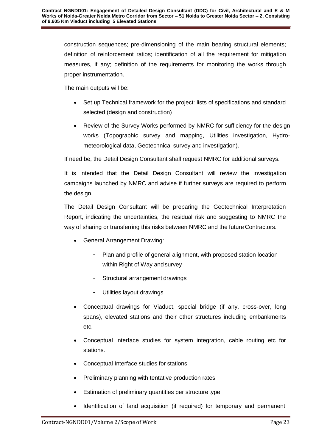construction sequences; pre-dimensioning of the main bearing structural elements; definition of reinforcement ratios; identification of all the requirement for mitigation measures, if any; definition of the requirements for monitoring the works through proper instrumentation.

The main outputs will be:

- Set up Technical framework for the project: lists of specifications and standard selected (design and construction)
- Review of the Survey Works performed by NMRC for sufficiency for the design works (Topographic survey and mapping, Utilities investigation, Hydrometeorological data, Geotechnical survey and investigation).

If need be, the Detail Design Consultant shall request NMRC for additional surveys.

It is intended that the Detail Design Consultant will review the investigation campaigns launched by NMRC and advise if further surveys are required to perform the design.

The Detail Design Consultant will be preparing the Geotechnical Interpretation Report, indicating the uncertainties, the residual risk and suggesting to NMRC the way of sharing or transferring this risks between NMRC and the future Contractors.

- General Arrangement Drawing:
	- Plan and profile of general alignment, with proposed station location within Right of Way and survey
	- Structural arrangement drawings
	- Utilities layout drawings
- Conceptual drawings for Viaduct, special bridge (if any, cross-over, long spans), elevated stations and their other structures including embankments etc.
- Conceptual interface studies for system integration, cable routing etc for stations.
- Conceptual Interface studies for stations
- Preliminary planning with tentative production rates
- Estimation of preliminary quantities per structure type
- Identification of land acquisition (if required) for temporary and permanent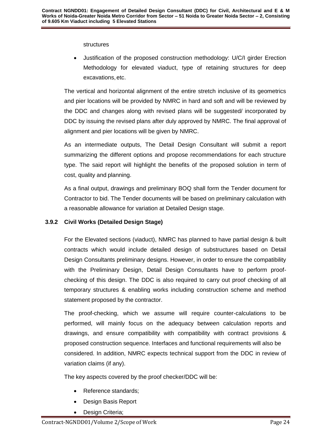structures

 Justification of the proposed construction methodology: U/C/I girder Erection Methodology for elevated viaduct, type of retaining structures for deep excavations,etc.

The vertical and horizontal alignment of the entire stretch inclusive of its geometrics and pier locations will be provided by NMRC in hard and soft and will be reviewed by the DDC and changes along with revised plans will be suggested/ incorporated by DDC by issuing the revised plans after duly approved by NMRC. The final approval of alignment and pier locations will be given by NMRC.

As an intermediate outputs, The Detail Design Consultant will submit a report summarizing the different options and propose recommendations for each structure type. The said report will highlight the benefits of the proposed solution in term of cost, quality and planning.

As a final output, drawings and preliminary BOQ shall form the Tender document for Contractor to bid. The Tender documents will be based on preliminary calculation with a reasonable allowance for variation at Detailed Design stage.

# **3.9.2 Civil Works (Detailed Design Stage)**

For the Elevated sections (viaduct), NMRC has planned to have partial design & built contracts which would include detailed design of substructures based on Detail Design Consultants preliminary designs. However, in order to ensure the compatibility with the Preliminary Design, Detail Design Consultants have to perform proofchecking of this design. The DDC is also required to carry out proof checking of all temporary structures & enabling works including construction scheme and method statement proposed by the contractor.

The proof-checking, which we assume will require counter-calculations to be performed, will mainly focus on the adequacy between calculation reports and drawings, and ensure compatibility with compatibility with contract provisions & proposed construction sequence. Interfaces and functional requirements will also be considered. In addition, NMRC expects technical support from the DDC in review of variation claims (if any).

The key aspects covered by the proof checker/DDC will be:

- Reference standards;
- Design Basis Report
- Design Criteria;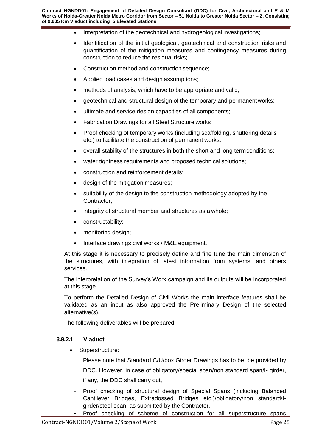- Interpretation of the geotechnical and hydrogeological investigations;
- Identification of the initial geological, geotechnical and construction risks and quantification of the mitigation measures and contingency measures during construction to reduce the residual risks;
- Construction method and construction sequence;
- Applied load cases and design assumptions;
- methods of analysis, which have to be appropriate and valid;
- geotechnical and structural design of the temporary and permanentworks;
- ultimate and service design capacities of all components;
- Fabrication Drawings for all Steel Structure works
- Proof checking of temporary works (including scaffolding, shuttering details etc.) to facilitate the construction of permanent works.
- overall stability of the structures in both the short and long termconditions;
- water tightness requirements and proposed technical solutions;
- construction and reinforcement details;
- design of the mitigation measures;
- suitability of the design to the construction methodology adopted by the Contractor;
- integrity of structural member and structures as a whole;
- constructability;
- monitoring design;
- Interface drawings civil works / M&E equipment.

At this stage it is necessary to precisely define and fine tune the main dimension of the structures, with integration of latest information from systems, and others services.

The interpretation of the Survey's Work campaign and its outputs will be incorporated at this stage.

To perform the Detailed Design of Civil Works the main interface features shall be validated as an input as also approved the Preliminary Design of the selected alternative(s).

The following deliverables will be prepared:

# **3.9.2.1 Viaduct**

Superstructure:

Please note that Standard C/U/box Girder Drawings has to be be provided by DDC. However, in case of obligatory/special span/non standard span/I- girder, if any, the DDC shall carry out,

- Proof checking of structural design of Special Spans (including Balanced Cantilever Bridges, Extradossed Bridges etc.)/obligatory/non standard/Igirder/steel span, as submitted by the Contractor.
	- Proof checking of scheme of construction for all superstructure spans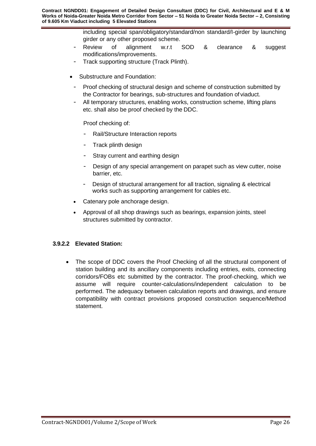including special span/obligatory/standard/non standard/I-girder by launching girder or any other proposed scheme.

- Review of alignment w.r.t SOD & clearance & suggest modifications/improvements.
- Track supporting structure (Track Plinth).
- Substructure and Foundation:
	- Proof checking of structural design and scheme of construction submitted by the Contractor for bearings, sub-structures and foundation of viaduct.
	- All temporary structures, enabling works, construction scheme, lifting plans etc. shall also be proof checked by the DDC.

Proof checking of:

- Rail/Structure Interaction reports
- Track plinth design
- Stray current and earthing design
- Design of any special arrangement on parapet such as view cutter, noise barrier, etc.
- Design of structural arrangement for all traction, signaling & electrical works such as supporting arrangement for cables etc.
- Catenary pole anchorage design.
- Approval of all shop drawings such as bearings, expansion joints, steel structures submitted by contractor.

#### **3.9.2.2 Elevated Station:**

 The scope of DDC covers the Proof Checking of all the structural component of station building and its ancillary components including entries, exits, connecting corridors/FOBs etc submitted by the contractor. The proof-checking, which we assume will require counter-calculations/independent calculation to be performed. The adequacy between calculation reports and drawings, and ensure compatibility with contract provisions proposed construction sequence/Method statement.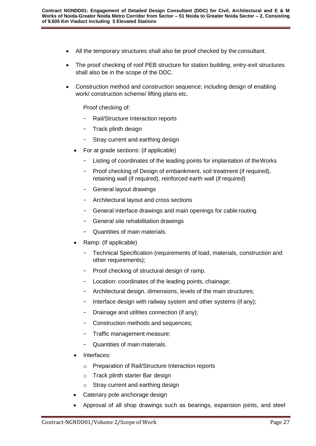- All the temporary structures shall also be proof checked by the consultant.
- The proof checking of roof PEB structure for station building, entry-exit structures shall also be in the scope of the DDC.
- Construction method and construction sequence; including design of enabling work/ construction scheme/ lifting plans etc.

Proof checking of:

- Rail/Structure Interaction reports
- Track plinth design
- Stray current and earthing design
- For at grade sections: (if applicable)
	- Listing of coordinates of the leading points for implantation of the Works
	- Proof checking of Design of embankment, soil treatment (if required), retaining wall (if required), reinforced earth wall (if required)
	- General layout drawings
	- Architectural layout and cross sections
	- General interface drawings and main openings for cable routing
	- General site rehabilitation drawings
	- Quantities of main materials.
- Ramp: (If applicable)
	- Technical Specification (requirements of load, materials, construction and other requirements);
	- Proof checking of structural design of ramp.
	- Location: coordinates of the leading points, chainage;
	- Architectural design, dimensions, levels of the main structures;
	- Interface design with railway system and other systems (if any);
	- Drainage and utilities connection (if any);
	- Construction methods and sequences;
	- Traffic management measure;
	- Quantities of main materials.
- Interfaces:
	- o Preparation of Rail/Structure Interaction reports
	- o Track plinth starter Bar design
	- o Stray current and earthing design
- Catenary pole anchorage design
- Approval of all shop drawings such as bearings, expansion joints, and steel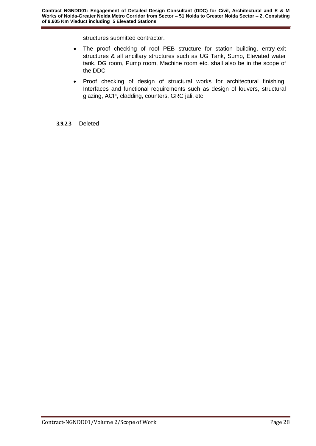structures submitted contractor.

- The proof checking of roof PEB structure for station building, entry-exit structures & all ancillary structures such as UG Tank, Sump, Elevated water tank, DG room, Pump room, Machine room etc. shall also be in the scope of the DDC
- Proof checking of design of structural works for architectural finishing, Interfaces and functional requirements such as design of louvers, structural glazing, ACP, cladding, counters, GRC jali, etc

#### **3.9.2.3** Deleted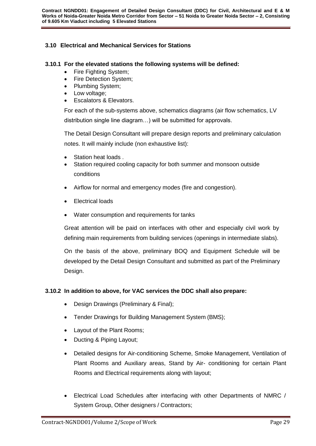# **3.10 Electrical and Mechanical Services for Stations**

#### **3.10.1 For the elevated stations the following systems will be defined:**

- Fire Fighting System;
- Fire Detection System;
- Plumbing System;
- Low voltage;
- Escalators & Elevators.

For each of the sub-systems above, schematics diagrams (air flow schematics, LV distribution single line diagram…) will be submitted for approvals.

The Detail Design Consultant will prepare design reports and preliminary calculation notes. It will mainly include (non exhaustive list):

- Station heat loads .
- Station required cooling capacity for both summer and monsoon outside conditions
- Airflow for normal and emergency modes (fire and congestion).
- Electrical loads
- Water consumption and requirements for tanks

Great attention will be paid on interfaces with other and especially civil work by defining main requirements from building services (openings in intermediate slabs).

On the basis of the above, preliminary BOQ and Equipment Schedule will be developed by the Detail Design Consultant and submitted as part of the Preliminary Design.

#### **3.10.2 In addition to above, for VAC services the DDC shall also prepare:**

- Design Drawings (Preliminary & Final);
- Tender Drawings for Building Management System (BMS);
- Layout of the Plant Rooms;
- Ducting & Piping Layout;
- Detailed designs for Air-conditioning Scheme, Smoke Management, Ventilation of Plant Rooms and Auxiliary areas, Stand by Air- conditioning for certain Plant Rooms and Electrical requirements along with layout;
- Electrical Load Schedules after interfacing with other Departments of NMRC / System Group, Other designers / Contractors;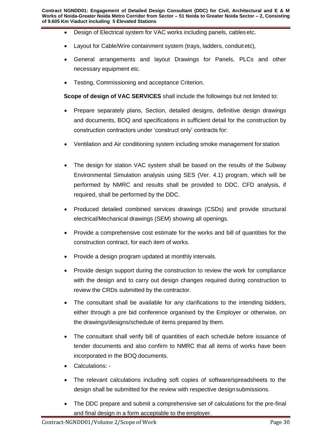- Design of Electrical system for VAC works including panels, cables etc.
- Layout for Cable/Wire containment system (trays, ladders, conduit etc),
- General arrangements and layout Drawings for Panels, PLCs and other necessary equipment etc.
- **•** Testing, Commissioning and acceptance Criterion.

**Scope of design of VAC SERVICES** shall include the followings but not limited to:

- Prepare separately plans, Section, detailed designs, definitive design drawings and documents, BOQ and specifications in sufficient detail for the construction by construction contractors under 'construct only' contracts for:
- Ventilation and Air conditioning system including smoke management for station
- The design for station VAC system shall be based on the results of the Subway Environmental Simulation analysis using SES (Ver. 4.1) program, which will be performed by NMRC and results shall be provided to DDC. CFD analysis, if required, shall be performed by the DDC.
- Produced detailed combined services drawings (CSDs) and provide structural electrical/Mechanical drawings (SEM) showing all openings.
- Provide a comprehensive cost estimate for the works and bill of quantities for the construction contract, for each item of works.
- Provide a design program updated at monthly intervals.
- Provide design support during the construction to review the work for compliance with the design and to carry out design changes required during construction to review the CRDs submitted by the contractor.
- The consultant shall be available for any clarifications to the intending bidders, either through a pre bid conference organised by the Employer or otherwise, on the drawings/designs/schedule of items prepared by them.
- The consultant shall verify bill of quantities of each schedule before issuance of tender documents and also confirm to NMRC that all items of works have been incorporated in the BOQ documents.
- Calculations: -
- The relevant calculations including soft copies of software/spreadsheets to the design shall be submitted for the review with respective design submissions.
- The DDC prepare and submit a comprehensive set of calculations for the pre-final and final design in a form acceptable to the employer.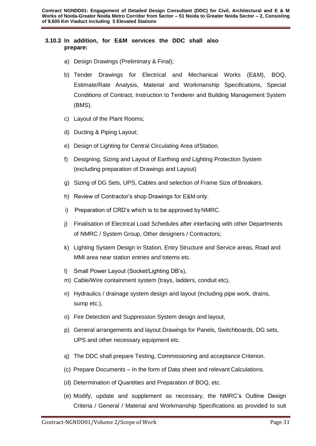#### **3.10.3 In addition, for E&M services the DDC shall also prepare:**

- a) Design Drawings (Preliminary & Final);
- b) Tender Drawings for Electrical and Mechanical Works (E&M), BOQ, Estimate/Rate Analysis, Material and Workmanship Specifications, Special Conditions of Contract, Instruction to Tenderer and Building Management System (BMS).
- c) Layout of the Plant Rooms;
- d) Ducting & Piping Layout;
- e) Design of Lighting for Central Circulating Area ofStation.
- f) Designing, Sizing and Layout of Earthing and Lighting Protection System (excluding preparation of Drawings and Layout)
- g) Sizing of DG Sets, UPS, Cables and selection of Frame Size of Breakers.
- h) Review of Contractor's shop Drawings for E&M only.
- i) Preparation of CRD's which is to be approved byNMRC.
- j) Finalisation of Electrical Load Schedules after interfacing with other Departments of NMRC / System Group, Other designers / Contractors;
- k) Lighting System Design in Station, Entry Structure and Service areas, Road and MMI area near station entries and totems etc.
- l) Small Power Layout (Socket/Lighting DB's),
- m) Cable/Wire containment system (trays, ladders, conduit etc),
- n) Hydraulics / drainage system design and layout (including pipe work, drains, sump etc.),
- o) Fire Detection and Suppression System design and layout,
- p) General arrangements and layout Drawings for Panels, Switchboards, DG sets, UPS and other necessary equipment etc.
- q) The DDC shall prepare Testing, Commissioning and acceptance Criterion.
- (c) Prepare Documents In the form of Data sheet and relevant Calculations.
- (d) Determination of Quantities and Preparation of BOQ, etc.
- (e) Modify, update and supplement as necessary, the NMRC's Outline Design Criteria / General / Material and Workmanship Specifications as provided to suit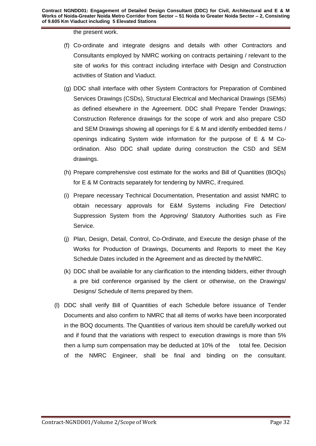the present work.

- (f) Co-ordinate and integrate designs and details with other Contractors and Consultants employed by NMRC working on contracts pertaining / relevant to the site of works for this contract including interface with Design and Construction activities of Station and Viaduct.
- (g) DDC shall interface with other System Contractors for Preparation of Combined Services Drawings (CSDs), Structural Electrical and Mechanical Drawings (SEMs) as defined elsewhere in the Agreement. DDC shall Prepare Tender Drawings; Construction Reference drawings for the scope of work and also prepare CSD and SEM Drawings showing all openings for E & M and identify embedded items / openings indicating System wide information for the purpose of E & M Coordination. Also DDC shall update during construction the CSD and SEM drawings.
- (h) Prepare comprehensive cost estimate for the works and Bill of Quantities (BOQs) for E & M Contracts separately for tendering by NMRC, ifrequired.
- (i) Prepare necessary Technical Documentation, Presentation and assist NMRC to obtain necessary approvals for E&M Systems including Fire Detection/ Suppression System from the Approving/ Statutory Authorities such as Fire Service.
- (j) Plan, Design, Detail, Control, Co-Ordinate, and Execute the design phase of the Works for Production of Drawings, Documents and Reports to meet the Key Schedule Dates included in the Agreement and as directed by theNMRC.
- (k) DDC shall be available for any clarification to the intending bidders, either through a pre bid conference organised by the client or otherwise, on the Drawings/ Designs/ Schedule of Items prepared by them.
- (l) DDC shall verify Bill of Quantities of each Schedule before issuance of Tender Documents and also confirm to NMRC that all items of works have been incorporated in the BOQ documents. The Quantities of various item should be carefully worked out and if found that the variations with respect to execution drawings is more than 5% then a lump sum compensation may be deducted at 10% of the total fee. Decision of the NMRC Engineer, shall be final and binding on the consultant.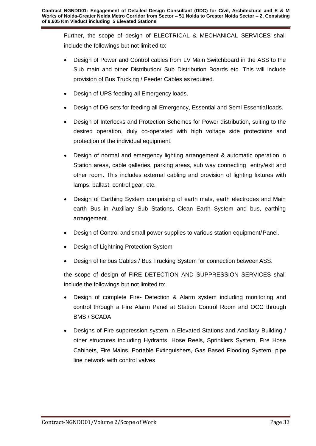Further, the scope of design of ELECTRICAL & MECHANICAL SERVICES shall include the followings but not limit ed to:

- Design of Power and Control cables from LV Main Switchboard in the ASS to the Sub main and other Distribution/ Sub Distribution Boards etc. This will include provision of Bus Trucking / Feeder Cables as required.
- Design of UPS feeding all Emergency loads.
- Design of DG sets for feeding all Emergency, Essential and Semi Essential loads.
- Design of Interlocks and Protection Schemes for Power distribution, suiting to the desired operation, duly co-operated with high voltage side protections and protection of the individual equipment.
- Design of normal and emergency lighting arrangement & automatic operation in Station areas, cable galleries, parking areas, sub way connecting entry/exit and other room. This includes external cabling and provision of lighting fixtures with lamps, ballast, control gear, etc.
- Design of Earthing System comprising of earth mats, earth electrodes and Main earth Bus in Auxiliary Sub Stations, Clean Earth System and bus, earthing arrangement.
- Design of Control and small power supplies to various station equipment/Panel.
- Design of Lightning Protection System
- Design of tie bus Cables / Bus Trucking System for connection betweenASS.

the scope of design of FIRE DETECTION AND SUPPRESSION SERVICES shall include the followings but not limited to:

- Design of complete Fire- Detection & Alarm system including monitoring and control through a Fire Alarm Panel at Station Control Room and OCC through BMS / SCADA
- Designs of Fire suppression system in Elevated Stations and Ancillary Building / other structures including Hydrants, Hose Reels, Sprinklers System, Fire Hose Cabinets, Fire Mains, Portable Extinguishers, Gas Based Flooding System, pipe line network with control valves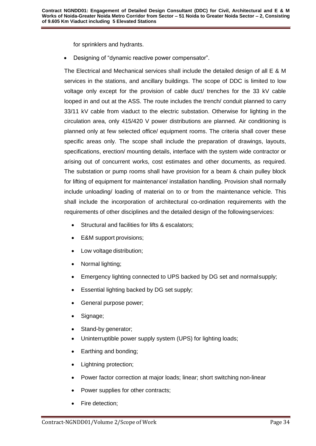for sprinklers and hydrants.

Designing of "dynamic reactive power compensator".

The Electrical and Mechanical services shall include the detailed design of all E & M services in the stations, and ancillary buildings. The scope of DDC is limited to low voltage only except for the provision of cable duct/ trenches for the 33 kV cable looped in and out at the ASS. The route includes the trench/ conduit planned to carry 33/11 kV cable from viaduct to the electric substation. Otherwise for lighting in the circulation area, only 415/420 V power distributions are planned. Air conditioning is planned only at few selected office/ equipment rooms. The criteria shall cover these specific areas only. The scope shall include the preparation of drawings, layouts, specifications, erection/ mounting details, interface with the system wide contractor or arising out of concurrent works, cost estimates and other documents, as required. The substation or pump rooms shall have provision for a beam & chain pulley block for lifting of equipment for maintenance/ installation handling. Provision shall normally include unloading/ loading of material on to or from the maintenance vehicle. This shall include the incorporation of architectural co-ordination requirements with the requirements of other disciplines and the detailed design of the followingservices:

- Structural and facilities for lifts & escalators;
- E&M support provisions;
- Low voltage distribution;
- Normal lighting;
- Emergency lighting connected to UPS backed by DG set and normalsupply;
- **Essential lighting backed by DG set supply;**
- General purpose power;
- Signage;
- Stand-by generator;
- Uninterruptible power supply system (UPS) for lighting loads;
- Earthing and bonding;
- Lightning protection;
- Power factor correction at major loads; linear; short switching non-linear
- Power supplies for other contracts;
- Fire detection;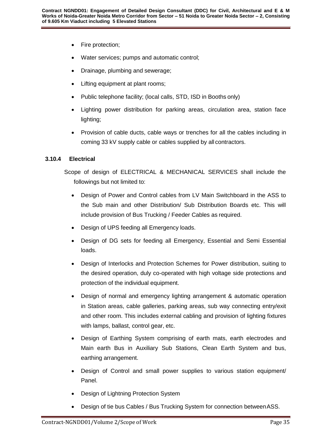- Fire protection;
- Water services; pumps and automatic control;
- Drainage, plumbing and sewerage;
- Lifting equipment at plant rooms;
- Public telephone facility; (local calls, STD, ISD in Booths only)
- Lighting power distribution for parking areas, circulation area, station face lighting;
- Provision of cable ducts, cable ways or trenches for all the cables including in coming 33 kV supply cable or cables supplied by all contractors.

# **3.10.4 Electrical**

Scope of design of ELECTRICAL & MECHANICAL SERVICES shall include the followings but not limited to:

- Design of Power and Control cables from LV Main Switchboard in the ASS to the Sub main and other Distribution/ Sub Distribution Boards etc. This will include provision of Bus Trucking / Feeder Cables as required.
- Design of UPS feeding all Emergency loads.
- Design of DG sets for feeding all Emergency, Essential and Semi Essential loads.
- Design of Interlocks and Protection Schemes for Power distribution, suiting to the desired operation, duly co-operated with high voltage side protections and protection of the individual equipment.
- Design of normal and emergency lighting arrangement & automatic operation in Station areas, cable galleries, parking areas, sub way connecting entry/exit and other room. This includes external cabling and provision of lighting fixtures with lamps, ballast, control gear, etc.
- Design of Earthing System comprising of earth mats, earth electrodes and Main earth Bus in Auxiliary Sub Stations, Clean Earth System and bus, earthing arrangement.
- Design of Control and small power supplies to various station equipment/ Panel.
- Design of Lightning Protection System
- Design of tie bus Cables / Bus Trucking System for connection betweenASS.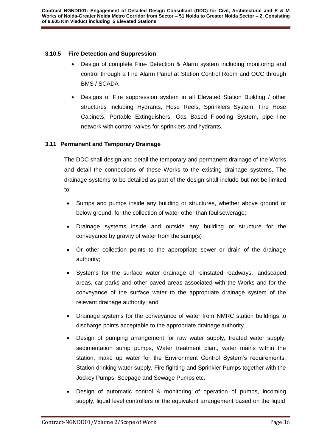# **3.10.5 Fire Detection and Suppression**

- Design of complete Fire- Detection & Alarm system including monitoring and control through a Fire Alarm Panel at Station Control Room and OCC through BMS / SCADA
- Designs of Fire suppression system in all Elevated Station Building / other structures including Hydrants, Hose Reels, Sprinklers System, Fire Hose Cabinets, Portable Extinguishers, Gas Based Flooding System, pipe line network with control valves for sprinklers and hydrants.

### <span id="page-36-0"></span>**3.11 Permanent and Temporary Drainage**

The DDC shall design and detail the temporary and permanent drainage of the Works and detail the connections of these Works to the existing drainage systems. The drainage systems to be detailed as part of the design shall include but not be limited to:

- Sumps and pumps inside any building or structures, whether above ground or below ground, for the collection of water other than foul sewerage;
- Drainage systems inside and outside any building or structure for the conveyance by gravity of water from the sump(s)
- Or other collection points to the appropriate sewer or drain of the drainage authority;
- Systems for the surface water drainage of reinstated roadways, landscaped areas, car parks and other paved areas associated with the Works and for the conveyance of the surface water to the appropriate drainage system of the relevant drainage authority; and
- Drainage systems for the conveyance of water from NMRC station buildings to discharge points acceptable to the appropriate drainage authority.
- Design of pumping arrangement for raw water supply, treated water supply, sedimentation sump pumps, Water treatment plant, water mains within the station, make up water for the Environment Control System's requirements, Station drinking water supply, Fire fighting and Sprinkler Pumps together with the Jockey Pumps, Seepage and Sewage Pumps etc.
- Design of automatic control & monitoring of operation of pumps, incoming supply, liquid level controllers or the equivalent arrangement based on the liquid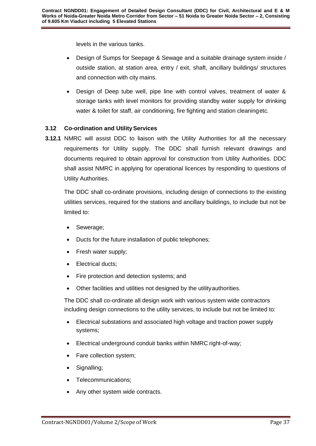levels in the various tanks.

- Design of Sumps for Seepage & Sewage and a suitable drainage system inside / outside station, at station area, entry / exit, shaft, ancillary buildings/ structures and connection with city mains.
- Design of Deep tube well, pipe line with control valves, treatment of water & storage tanks with level monitors for providing standby water supply for drinking water & toilet for staff, air conditioning, fire fighting and station cleaningetc.

# <span id="page-37-0"></span>**3.12 Co-ordination and UtilityServices**

**3.12.1** NMRC will assist DDC to liaison with the Utility Authorities for all the necessary requirements for Utility supply. The DDC shall furnish relevant drawings and documents required to obtain approval for construction from Utility Authorities. DDC shall assist NMRC in applying for operational licences by responding to questions of Utility Authorities.

The DDC shall co-ordinate provisions, including design of connections to the existing utilities services, required for the stations and ancillary buildings, to include but not be limited to:

- Sewerage;
- Ducts for the future installation of public telephones;
- Fresh water supply;
- Electrical ducts;
- Fire protection and detection systems; and
- Other facilities and utilities not designed by the utilityauthorities.

The DDC shall co-ordinate all design work with various system wide contractors including design connections to the utility services, to include but not be limited to:

- Electrical substations and associated high voltage and traction power supply systems;
- Electrical underground conduit banks within NMRC right-of-way;
- Fare collection system;
- Signalling;
- Telecommunications;
- Any other system wide contracts.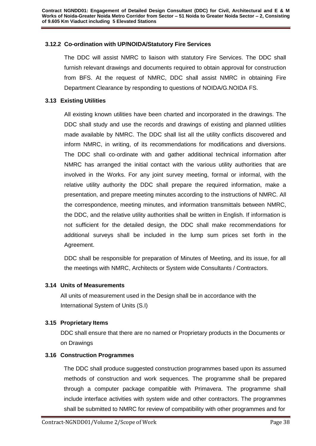# **3.12.2 Co-ordination with UP/NOIDA/Statutory Fire Services**

The DDC will assist NMRC to liaison with statutory Fire Services. The DDC shall furnish relevant drawings and documents required to obtain approval for construction from BFS. At the request of NMRC, DDC shall assist NMRC in obtaining Fire Department Clearance by responding to questions of NOIDA/G.NOIDA FS.

### <span id="page-38-0"></span>**3.13 Existing Utilities**

All existing known utilities have been charted and incorporated in the drawings. The DDC shall study and use the records and drawings of existing and planned utilities made available by NMRC. The DDC shall list all the utility conflicts discovered and inform NMRC, in writing, of its recommendations for modifications and diversions. The DDC shall co-ordinate with and gather additional technical information after NMRC has arranged the initial contact with the various utility authorities that are involved in the Works. For any joint survey meeting, formal or informal, with the relative utility authority the DDC shall prepare the required information, make a presentation, and prepare meeting minutes according to the instructions of NMRC. All the correspondence, meeting minutes, and information transmittals between NMRC, the DDC, and the relative utility authorities shall be written in English. If information is not sufficient for the detailed design, the DDC shall make recommendations for additional surveys shall be included in the lump sum prices set forth in the Agreement.

DDC shall be responsible for preparation of Minutes of Meeting, and its issue, for all the meetings with NMRC, Architects or System wide Consultants / Contractors.

#### <span id="page-38-1"></span>**3.14 Units of Measurements**

All units of measurement used in the Design shall be in accordance with the International System of Units (S.I)

# <span id="page-38-2"></span>**3.15 Proprietary Items**

DDC shall ensure that there are no named or Proprietary products in the Documents or on Drawings

#### <span id="page-38-3"></span>**3.16 Construction Programmes**

The DDC shall produce suggested construction programmes based upon its assumed methods of construction and work sequences. The programme shall be prepared through a computer package compatible with Primavera. The programme shall include interface activities with system wide and other contractors. The programmes shall be submitted to NMRC for review of compatibility with other programmes and for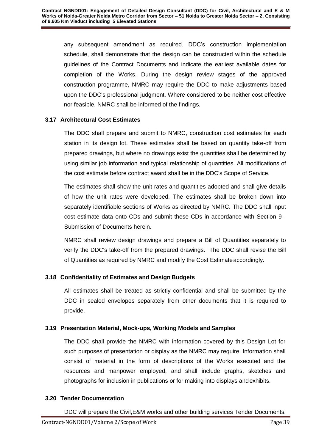any subsequent amendment as required. DDC's construction implementation schedule, shall demonstrate that the design can be constructed within the schedule guidelines of the Contract Documents and indicate the earliest available dates for completion of the Works. During the design review stages of the approved construction programme, NMRC may require the DDC to make adjustments based upon the DDC's professional judgment. Where considered to be neither cost effective nor feasible, NMRC shall be informed of the findings.

# <span id="page-39-0"></span>**3.17 Architectural Cost Estimates**

The DDC shall prepare and submit to NMRC, construction cost estimates for each station in its design lot. These estimates shall be based on quantity take-off from prepared drawings, but where no drawings exist the quantities shall be determined by using similar job information and typical relationship of quantities. All modifications of the cost estimate before contract award shall be in the DDC's Scope of Service.

The estimates shall show the unit rates and quantities adopted and shall give details of how the unit rates were developed. The estimates shall be broken down into separately identifiable sections of Works as directed by NMRC. The DDC shall input cost estimate data onto CDs and submit these CDs in accordance with Section 9 - Submission of Documents herein.

NMRC shall review design drawings and prepare a Bill of Quantities separately to verify the DDC's take-off from the prepared drawings. The DDC shall revise the Bill of Quantities as required by NMRC and modify the Cost Estimateaccordingly.

# <span id="page-39-1"></span>**3.18 Confidentiality of Estimates and Design Budgets**

All estimates shall be treated as strictly confidential and shall be submitted by the DDC in sealed envelopes separately from other documents that it is required to provide.

# <span id="page-39-2"></span>**3.19 Presentation Material, Mock-ups, Working Models and Samples**

The DDC shall provide the NMRC with information covered by this Design Lot for such purposes of presentation or display as the NMRC may require. Information shall consist of material in the form of descriptions of the Works executed and the resources and manpower employed, and shall include graphs, sketches and photographs for inclusion in publications or for making into displays andexhibits.

# <span id="page-39-3"></span>**3.20 Tender Documentation**

DDC will prepare the Civil,E&M works and other building services Tender Documents.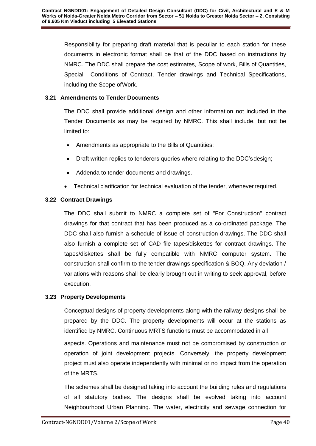Responsibility for preparing draft material that is peculiar to each station for these documents in electronic format shall be that of the DDC based on instructions by NMRC. The DDC shall prepare the cost estimates, Scope of work, Bills of Quantities, Special Conditions of Contract, Tender drawings and Technical Specifications, including the Scope ofWork.

# <span id="page-40-0"></span>**3.21 Amendments to Tender Documents**

The DDC shall provide additional design and other information not included in the Tender Documents as may be required by NMRC. This shall include, but not be limited to:

- Amendments as appropriate to the Bills of Quantities;
- Draft written replies to tenderers queries where relating to the DDC'sdesign;
- Addenda to tender documents and drawings.
- Technical clarification for technical evaluation of the tender, wheneverrequired.

# <span id="page-40-1"></span>**3.22 Contract Drawings**

The DDC shall submit to NMRC a complete set of "For Construction" contract drawings for that contract that has been produced as a co-ordinated package. The DDC shall also furnish a schedule of issue of construction drawings. The DDC shall also furnish a complete set of CAD file tapes/diskettes for contract drawings. The tapes/diskettes shall be fully compatible with NMRC computer system. The construction shall confirm to the tender drawings specification & BOQ. Any deviation / variations with reasons shall be clearly brought out in writing to seek approval, before execution.

# <span id="page-40-2"></span>**3.23 Property Developments**

Conceptual designs of property developments along with the railway designs shall be prepared by the DDC. The property developments will occur at the stations as identified by NMRC. Continuous MRTS functions must be accommodated in all

aspects. Operations and maintenance must not be compromised by construction or operation of joint development projects. Conversely, the property development project must also operate independently with minimal or no impact from the operation of the MRTS.

The schemes shall be designed taking into account the building rules and regulations of all statutory bodies. The designs shall be evolved taking into account Neighbourhood Urban Planning. The water, electricity and sewage connection for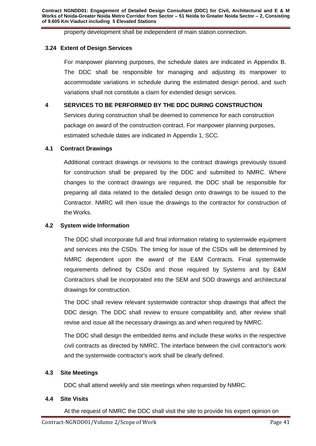property development shall be independent of main station connection.

## <span id="page-41-0"></span>**3.24 Extent of Design Services**

For manpower planning purposes, the schedule dates are indicated in Appendix B. The DDC shall be responsible for managing and adjusting its manpower to accommodate variations in schedule during the estimated design period, and such variations shall not constitute a claim for extended design services.

# **4 SERVICES TO BE PERFORMED BY THE DDC DURING CONSTRUCTION**

Services during construction shall be deemed to commence for each construction package on award of the construction contract. For manpower planning purposes, estimated schedule dates are indicated in Appendix 1, SCC.

#### <span id="page-41-1"></span>**4.1 Contract Drawings**

Additional contract drawings or revisions to the contract drawings previously issued for construction shall be prepared by the DDC and submitted to NMRC. Where changes to the contract drawings are required, the DDC shall be responsible for preparing all data related to the detailed design onto drawings to be issued to the Contractor. NMRC will then issue the drawings to the contractor for construction of the Works.

#### <span id="page-41-2"></span>**4.2 System wide Information**

The DDC shall incorporate full and final information relating to systemwide equipment and services into the CSDs. The timing for issue of the CSDs will be determined by NMRC dependent upon the award of the E&M Contracts. Final systemwide requirements defined by CSDs and those required by Systems and by E&M Contractors shall be incorporated into the SEM and SOD drawings and architectural drawings for construction.

The DDC shall review relevant systemwide contractor shop drawings that affect the DDC design. The DDC shall review to ensure compatibility and, after review shall revise and issue all the necessary drawings as and when required by NMRC.

The DDC shall design the embedded items and include these works in the respective civil contracts as directed by NMRC. The interface between the civil contractor's work and the systemwide contractor's work shall be clearly defined.

#### <span id="page-41-3"></span>**4.3 Site Meetings**

DDC shall attend weekly and site meetings when requested by NMRC.

#### <span id="page-41-4"></span>**4.4 Site Visits**

At the request of NMRC the DDC shall visit the site to provide his expert opinion on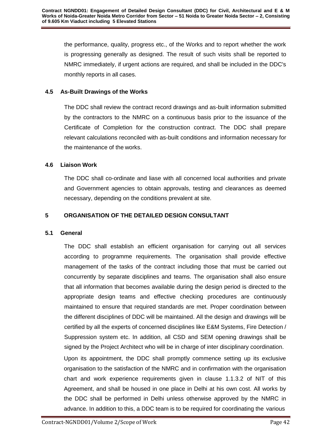the performance, quality, progress etc., of the Works and to report whether the work is progressing generally as designed. The result of such visits shall be reported to NMRC immediately, if urgent actions are required, and shall be included in the DDC's monthly reports in all cases.

# <span id="page-42-0"></span>**4.5 As-Built Drawings of the Works**

The DDC shall review the contract record drawings and as-built information submitted by the contractors to the NMRC on a continuous basis prior to the issuance of the Certificate of Completion for the construction contract. The DDC shall prepare relevant calculations reconciled with as-built conditions and information necessary for the maintenance of the works.

# <span id="page-42-1"></span>**4.6 Liaison Work**

The DDC shall co-ordinate and liase with all concerned local authorities and private and Government agencies to obtain approvals, testing and clearances as deemed necessary, depending on the conditions prevalent at site.

# **5 ORGANISATION OF THE DETAILED DESIGN CONSULTANT**

# <span id="page-42-2"></span>**5.1 General**

The DDC shall establish an efficient organisation for carrying out all services according to programme requirements. The organisation shall provide effective management of the tasks of the contract including those that must be carried out concurrently by separate disciplines and teams. The organisation shall also ensure that all information that becomes available during the design period is directed to the appropriate design teams and effective checking procedures are continuously maintained to ensure that required standards are met. Proper coordination between the different disciplines of DDC will be maintained. All the design and drawings will be certified by all the experts of concerned disciplines like E&M Systems, Fire Detection / Suppression system etc. In addition, all CSD and SEM opening drawings shall be signed by the Project Architect who will be in charge of inter disciplinary coordination.

Upon its appointment, the DDC shall promptly commence setting up its exclusive organisation to the satisfaction of the NMRC and in confirmation with the organisation chart and work experience requirements given in clause 1.1.3.2 of NIT of this Agreement, and shall be housed in one place in Delhi at his own cost. All works by the DDC shall be performed in Delhi unless otherwise approved by the NMRC in advance. In addition to this, a DDC team is to be required for coordinating the various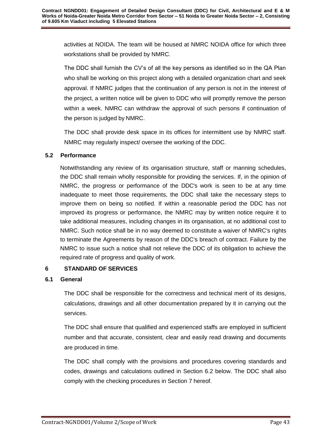activities at NOIDA. The team will be housed at NMRC NOIDA office for which three workstations shall be provided by NMRC.

The DDC shall furnish the CV's of all the key persons as identified so in the QA Plan who shall be working on this project along with a detailed organization chart and seek approval. If NMRC judges that the continuation of any person is not in the interest of the project, a written notice will be given to DDC who will promptly remove the person within a week. NMRC can withdraw the approval of such persons if continuation of the person is judged by NMRC.

The DDC shall provide desk space in its offices for intermittent use by NMRC staff. NMRC may regularly inspect/ oversee the working of the DDC.

# <span id="page-43-0"></span>**5.2 Performance**

Notwithstanding any review of its organisation structure, staff or manning schedules, the DDC shall remain wholly responsible for providing the services. If, in the opinion of NMRC, the progress or performance of the DDC's work is seen to be at any time inadequate to meet those requirements, the DDC shall take the necessary steps to improve them on being so notified. If within a reasonable period the DDC has not improved its progress or performance, the NMRC may by written notice require it to take additional measures, including changes in its organisation, at no additional cost to NMRC. Such notice shall be in no way deemed to constitute a waiver of NMRC's rights to terminate the Agreements by reason of the DDC's breach of contract. Failure by the NMRC to issue such a notice shall not relieve the DDC of its obligation to achieve the required rate of progress and quality of work.

# <span id="page-43-1"></span>**6 STANDARD OF SERVICES**

# <span id="page-43-2"></span>**6.1 General**

The DDC shall be responsible for the correctness and technical merit of its designs, calculations, drawings and all other documentation prepared by it in carrying out the services.

The DDC shall ensure that qualified and experienced staffs are employed in sufficient number and that accurate, consistent, clear and easily read drawing and documents are produced in time.

The DDC shall comply with the provisions and procedures covering standards and codes, drawings and calculations outlined in Section 6.2 below. The DDC shall also comply with the checking procedures in Section 7 hereof.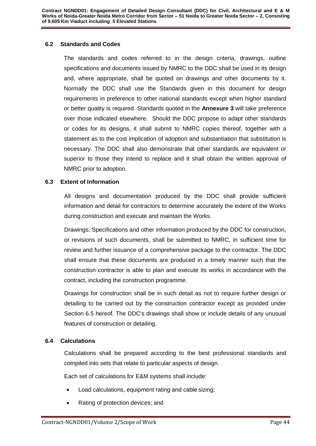#### <span id="page-44-0"></span>**6.2 Standards and Codes**

The standards and codes referred to in the design criteria, drawings, outline specifications and documents issued by NMRC to the DDC shall be used in its design and, where appropriate, shall be quoted on drawings and other documents by it. Normally the DDC shall use the Standards given in this document for design requirements in preference to other national standards except when higher standard or better quality is required. Standards quoted in the **Annexure 3** will take preference over those indicated elsewhere. Should the DDC propose to adapt other standards or codes for its designs, it shall submit to NMRC copies thereof, together with a statement as to the cost implication of adoption and substantiation that substitution is necessary. The DDC shall also demonstrate that other standards are equivalent or superior to those they intend to replace and it shall obtain the written approval of NMRC prior to adoption.

### <span id="page-44-1"></span>**6.3 Extent of Information**

All designs and documentation produced by the DDC shall provide sufficient information and detail for contractors to determine accurately the extent of the Works during construction and execute and maintain the Works.

Drawings, Specifications and other information produced by the DDC for construction, or revisions of such documents, shall be submitted to NMRC, in sufficient time for review and further issuance of a comprehensive package to the contractor. The DDC shall ensure that these documents are produced in a timely manner such that the construction contractor is able to plan and execute its works in accordance with the contract, including the construction programme.

Drawings for construction shall be in such detail as not to require further design or detailing to be carried out by the construction contractor except as provided under Section 6.5 hereof. The DDC's drawings shall show or include details of any unusual features of construction or detailing.

#### <span id="page-44-2"></span>**6.4 Calculations**

Calculations shall be prepared according to the best professional standards and compiled into sets that relate to particular aspects of design.

Each set of calculations for E&M systems shall include:

- Load calculations, equipment rating and cable sizing;
- Rating of protection devices; and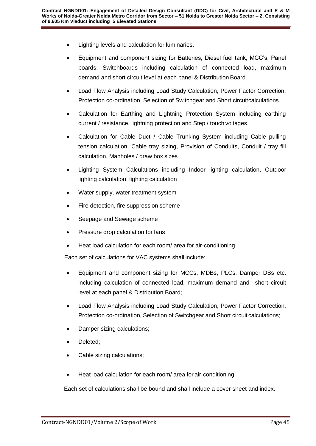- Lighting levels and calculation for luminaries.
- Equipment and component sizing for Batteries, Diesel fuel tank, MCC's, Panel boards, Switchboards including calculation of connected load, maximum demand and short circuit level at each panel & Distribution Board.
- Load Flow Analysis including Load Study Calculation, Power Factor Correction, Protection co-ordination, Selection of Switchgear and Short circuitcalculations.
- Calculation for Earthing and Lightning Protection System including earthing current / resistance, lightning protection and Step / touch voltages
- Calculation for Cable Duct / Cable Trunking System including Cable pulling tension calculation, Cable tray sizing, Provision of Conduits, Conduit / tray fill calculation, Manholes / draw box sizes
- Lighting System Calculations including Indoor lighting calculation, Outdoor lighting calculation, lighting calculation
- Water supply, water treatment system
- Fire detection, fire suppression scheme
- Seepage and Sewage scheme
- Pressure drop calculation for fans
- Heat load calculation for each room/ area for air-conditioning

Each set of calculations for VAC systems shall include:

- Equipment and component sizing for MCCs, MDBs, PLCs, Damper DBs etc. including calculation of connected load, maximum demand and short circuit level at each panel & Distribution Board;
- Load Flow Analysis including Load Study Calculation, Power Factor Correction, Protection co-ordination, Selection of Switchgear and Short circuit calculations;
- Damper sizing calculations;
- Deleted;
- Cable sizing calculations;
- Heat load calculation for each room/ area for air-conditioning.

Each set of calculations shall be bound and shall include a cover sheet and index.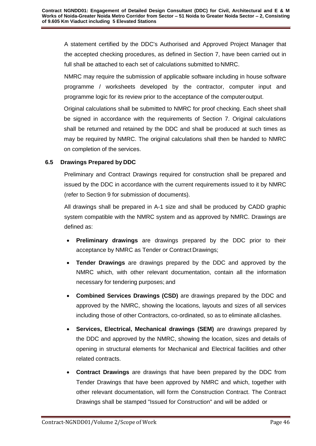A statement certified by the DDC's Authorised and Approved Project Manager that the accepted checking procedures, as defined in Section 7, have been carried out in full shall be attached to each set of calculations submitted to NMRC.

NMRC may require the submission of applicable software including in house software programme / worksheets developed by the contractor, computer input and programme logic for its review prior to the acceptance of the computeroutput.

Original calculations shall be submitted to NMRC for proof checking. Each sheet shall be signed in accordance with the requirements of Section 7. Original calculations shall be returned and retained by the DDC and shall be produced at such times as may be required by NMRC. The original calculations shall then be handed to NMRC on completion of the services.

# <span id="page-46-0"></span>**6.5 Drawings Prepared by DDC**

Preliminary and Contract Drawings required for construction shall be prepared and issued by the DDC in accordance with the current requirements issued to it by NMRC (refer to Section 9 for submission of documents).

All drawings shall be prepared in A-1 size and shall be produced by CADD graphic system compatible with the NMRC system and as approved by NMRC. Drawings are defined as:

- **Preliminary drawings** are drawings prepared by the DDC prior to their acceptance by NMRC as Tender or Contract Drawings;
- **Tender Drawings** are drawings prepared by the DDC and approved by the NMRC which, with other relevant documentation, contain all the information necessary for tendering purposes; and
- **Combined Services Drawings (CSD)** are drawings prepared by the DDC and approved by the NMRC, showing the locations, layouts and sizes of all services including those of other Contractors, co-ordinated, so as to eliminate all clashes.
- **Services, Electrical, Mechanical drawings (SEM)** are drawings prepared by the DDC and approved by the NMRC, showing the location, sizes and details of opening in structural elements for Mechanical and Electrical facilities and other related contracts.
- **Contract Drawings** are drawings that have been prepared by the DDC from Tender Drawings that have been approved by NMRC and which, together with other relevant documentation, will form the Construction Contract. The Contract Drawings shall be stamped "Issued for Construction" and will be added or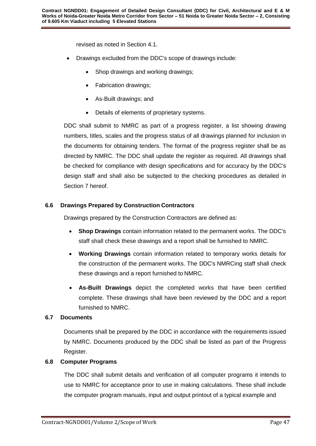revised as noted in Section 4.1.

- Drawings excluded from the DDC's scope of drawings include:
	- Shop drawings and working drawings;
	- Fabrication drawings;
	- As-Built drawings; and
	- Details of elements of proprietary systems.

DDC shall submit to NMRC as part of a progress register, a list showing drawing numbers, titles, scales and the progress status of all drawings planned for inclusion in the documents for obtaining tenders. The format of the progress register shall be as directed by NMRC. The DDC shall update the register as required. All drawings shall be checked for compliance with design specifications and for accuracy by the DDC's design staff and shall also be subjected to the checking procedures as detailed in Section 7 hereof.

### <span id="page-47-0"></span>**6.6 Drawings Prepared by Construction Contractors**

Drawings prepared by the Construction Contractors are defined as:

- **Shop Drawings** contain information related to the permanent works. The DDC's staff shall check these drawings and a report shall be furnished to NMRC.
- **Working Drawings** contain information related to temporary works details for the construction of the permanent works. The DDC's NMRCing staff shall check these drawings and a report furnished to NMRC.
- **As-Built Drawings** depict the completed works that have been certified complete. These drawings shall have been reviewed by the DDC and a report furnished to NMRC.

#### <span id="page-47-1"></span>**6.7 Documents**

Documents shall be prepared by the DDC in accordance with the requirements issued by NMRC. Documents produced by the DDC shall be listed as part of the Progress Register.

#### <span id="page-47-2"></span>**6.8 Computer Programs**

The DDC shall submit details and verification of all computer programs it intends to use to NMRC for acceptance prior to use in making calculations. These shall include the computer program manuals, input and output printout of a typical example and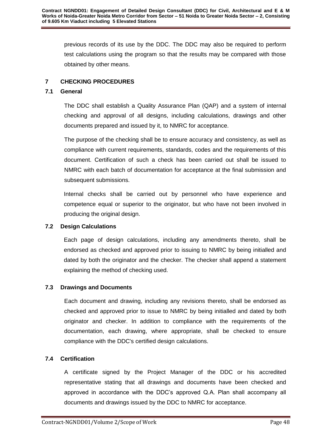previous records of its use by the DDC. The DDC may also be required to perform test calculations using the program so that the results may be compared with those obtained by other means.

# <span id="page-48-0"></span>**7 CHECKING PROCEDURES**

# <span id="page-48-1"></span>**7.1 General**

The DDC shall establish a Quality Assurance Plan (QAP) and a system of internal checking and approval of all designs, including calculations, drawings and other documents prepared and issued by it, to NMRC for acceptance.

The purpose of the checking shall be to ensure accuracy and consistency, as well as compliance with current requirements, standards, codes and the requirements of this document. Certification of such a check has been carried out shall be issued to NMRC with each batch of documentation for acceptance at the final submission and subsequent submissions.

Internal checks shall be carried out by personnel who have experience and competence equal or superior to the originator, but who have not been involved in producing the original design.

# <span id="page-48-2"></span>**7.2 Design Calculations**

Each page of design calculations, including any amendments thereto, shall be endorsed as checked and approved prior to issuing to NMRC by being initialled and dated by both the originator and the checker. The checker shall append a statement explaining the method of checking used.

# <span id="page-48-3"></span>**7.3 Drawings and Documents**

Each document and drawing, including any revisions thereto, shall be endorsed as checked and approved prior to issue to NMRC by being initialled and dated by both originator and checker. In addition to compliance with the requirements of the documentation, each drawing, where appropriate, shall be checked to ensure compliance with the DDC's certified design calculations.

# <span id="page-48-4"></span>**7.4 Certification**

A certificate signed by the Project Manager of the DDC or his accredited representative stating that all drawings and documents have been checked and approved in accordance with the DDC's approved Q.A. Plan shall accompany all documents and drawings issued by the DDC to NMRC for acceptance.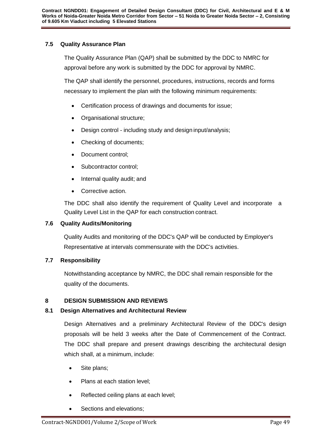# <span id="page-49-0"></span>**7.5 Quality Assurance Plan**

The Quality Assurance Plan (QAP) shall be submitted by the DDC to NMRC for approval before any work is submitted by the DDC for approval by NMRC.

The QAP shall identify the personnel, procedures, instructions, records and forms necessary to implement the plan with the following minimum requirements:

- Certification process of drawings and documents for issue;
- Organisational structure;
- Design control including study and design input/analysis;
- Checking of documents;
- Document control:
- Subcontractor control;
- Internal quality audit; and
- Corrective action.

The DDC shall also identify the requirement of Quality Level and incorporate a Quality Level List in the QAP for each construction contract.

# <span id="page-49-1"></span>**7.6 Quality Audits/Monitoring**

Quality Audits and monitoring of the DDC's QAP will be conducted by Employer's Representative at intervals commensurate with the DDC's activities.

#### <span id="page-49-2"></span>**7.7 Responsibility**

Notwithstanding acceptance by NMRC, the DDC shall remain responsible for the quality of the documents.

#### <span id="page-49-3"></span>**8 DESIGN SUBMISSION AND REVIEWS**

# **8.1 Design Alternatives and Architectural Review**

Design Alternatives and a preliminary Architectural Review of the DDC's design proposals will be held 3 weeks after the Date of Commencement of the Contract. The DDC shall prepare and present drawings describing the architectural design which shall, at a minimum, include:

- Site plans;
- Plans at each station level;
- Reflected ceiling plans at each level;
- Sections and elevations;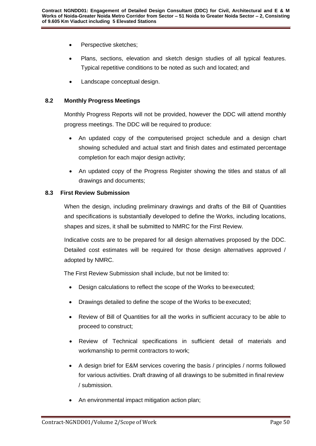- Perspective sketches;
- Plans, sections, elevation and sketch design studies of all typical features. Typical repetitive conditions to be noted as such and located; and
- Landscape conceptual design.

#### <span id="page-50-0"></span>**8.2 Monthly Progress Meetings**

Monthly Progress Reports will not be provided, however the DDC will attend monthly progress meetings. The DDC will be required to produce:

- An updated copy of the computerised project schedule and a design chart showing scheduled and actual start and finish dates and estimated percentage completion for each major design activity;
- An updated copy of the Progress Register showing the titles and status of all drawings and documents;

### <span id="page-50-1"></span>**8.3 First Review Submission**

When the design, including preliminary drawings and drafts of the Bill of Quantities and specifications is substantially developed to define the Works, including locations, shapes and sizes, it shall be submitted to NMRC for the First Review.

Indicative costs are to be prepared for all design alternatives proposed by the DDC. Detailed cost estimates will be required for those design alternatives approved / adopted by NMRC.

The First Review Submission shall include, but not be limited to:

- Design calculations to reflect the scope of the Works to beexecuted;
- Drawings detailed to define the scope of the Works to be executed;
- Review of Bill of Quantities for all the works in sufficient accuracy to be able to proceed to construct;
- Review of Technical specifications in sufficient detail of materials and workmanship to permit contractors to work;
- A design brief for E&M services covering the basis / principles / norms followed for various activities. Draft drawing of all drawings to be submitted in final review / submission.
- An environmental impact mitigation action plan;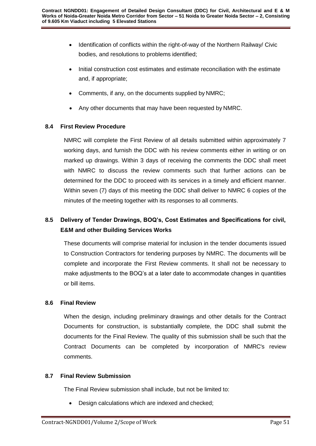- Identification of conflicts within the right-of-way of the Northern Railway/ Civic bodies, and resolutions to problems identified;
- Initial construction cost estimates and estimate reconciliation with the estimate and, if appropriate;
- Comments, if any, on the documents supplied by NMRC;
- Any other documents that may have been requested by NMRC.

# <span id="page-51-0"></span>**8.4 First Review Procedure**

NMRC will complete the First Review of all details submitted within approximately 7 working days, and furnish the DDC with his review comments either in writing or on marked up drawings. Within 3 days of receiving the comments the DDC shall meet with NMRC to discuss the review comments such that further actions can be determined for the DDC to proceed with its services in a timely and efficient manner. Within seven (7) days of this meeting the DDC shall deliver to NMRC 6 copies of the minutes of the meeting together with its responses to all comments.

# **8.5 Delivery of Tender Drawings, BOQ's, Cost Estimates and Specifications for civil, E&M and other Building Services Works**

These documents will comprise material for inclusion in the tender documents issued to Construction Contractors for tendering purposes by NMRC. The documents will be complete and incorporate the First Review comments. It shall not be necessary to make adjustments to the BOQ's at a later date to accommodate changes in quantities or bill items.

# <span id="page-51-1"></span>**8.6 Final Review**

When the design, including preliminary drawings and other details for the Contract Documents for construction, is substantially complete, the DDC shall submit the documents for the Final Review. The quality of this submission shall be such that the Contract Documents can be completed by incorporation of NMRC's review comments.

# <span id="page-51-2"></span>**8.7 Final Review Submission**

The Final Review submission shall include, but not be limited to:

Design calculations which are indexed and checked;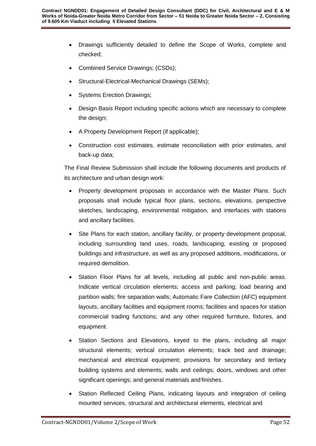- Drawings sufficiently detailed to define the Scope of Works, complete and checked;
- Combined Service Drawings; (CSDs);
- Structural-Electrical-Mechanical Drawings (SEMs);
- Systems Erection Drawings;
- Design Basis Report including specific actions which are necessary to complete the design;
- A Property Development Report (if applicable);
- Construction cost estimates, estimate reconciliation with prior estimates, and back-up data;

The Final Review Submission shall include the following documents and products of its architecture and urban design work:

- Property development proposals in accordance with the Master Plans. Such proposals shall include typical floor plans, sections, elevations, perspective sketches, landscaping, environmental mitigation, and interfaces with stations and ancillary facilities.
- Site Plans for each station, ancillary facility, or property development proposal, including surrounding land uses, roads, landscaping, existing or proposed buildings and infrastructure, as well as any proposed additions, modifications, or required demolition.
- Station Floor Plans for all levels, including all public and non-public areas. Indicate vertical circulation elements; access and parking; load bearing and partition walls; fire separation walls; Automatic Fare Collection (AFC) equipment layouts, ancillary facilities and equipment rooms; facilities and spaces for station commercial trading functions; and any other required furniture, fixtures, and equipment.
- Station Sections and Elevations, keyed to the plans, including all major structural elements; vertical circulation elements; track bed and drainage; mechanical and electrical equipment; provisions for secondary and tertiary building systems and elements; walls and ceilings; doors, windows and other significant openings; and general materials and finishes.
- Station Reflected Ceiling Plans, indicating layouts and integration of ceiling mounted services, structural and architectural elements, electrical and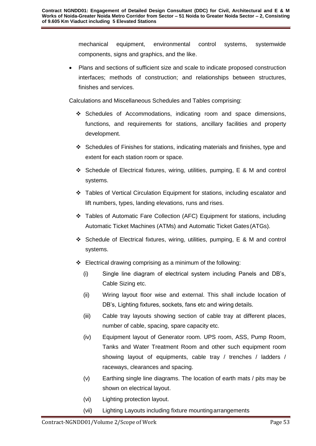mechanical equipment, environmental control systems, systemwide components, signs and graphics, and the like.

 Plans and sections of sufficient size and scale to indicate proposed construction interfaces; methods of construction; and relationships between structures, finishes and services.

Calculations and Miscellaneous Schedules and Tables comprising:

- $\div$  Schedules of Accommodations, indicating room and space dimensions, functions, and requirements for stations, ancillary facilities and property development.
- Schedules of Finishes for stations, indicating materials and finishes, type and extent for each station room or space.
- Schedule of Electrical fixtures, wiring, utilities, pumping, E & M and control systems.
- Tables of Vertical Circulation Equipment for stations, including escalator and lift numbers, types, landing elevations, runs and rises.
- Tables of Automatic Fare Collection (AFC) Equipment for stations, including Automatic Ticket Machines (ATMs) and Automatic Ticket Gates (ATGs).
- Schedule of Electrical fixtures, wiring, utilities, pumping, E & M and control systems.
- $\div$  Electrical drawing comprising as a minimum of the following:
	- (i) Single line diagram of electrical system including Panels and DB's, Cable Sizing etc.
	- (ii) Wiring layout floor wise and external. This shall include location of DB's, Lighting fixtures, sockets, fans etc and wiring details.
	- (iii) Cable tray layouts showing section of cable tray at different places, number of cable, spacing, spare capacity etc.
	- (iv) Equipment layout of Generator room. UPS room, ASS, Pump Room, Tanks and Water Treatment Room and other such equipment room showing layout of equipments, cable tray / trenches / ladders / raceways, clearances and spacing.
	- (v) Earthing single line diagrams. The location of earth mats / pits may be shown on electrical layout.
	- (vi) Lighting protection layout.
	- (vii) Lighting Layouts including fixture mountingarrangements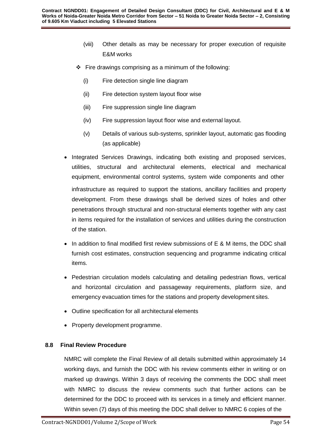- (viii) Other details as may be necessary for proper execution of requisite E&M works
- $\div$  Fire drawings comprising as a minimum of the following:
	- (i) Fire detection single line diagram
	- (ii) Fire detection system layout floor wise
	- (iii) Fire suppression single line diagram
	- (iv) Fire suppression layout floor wise and external layout.
	- (v) Details of various sub-systems, sprinkler layout, automatic gas flooding (as applicable)
- Integrated Services Drawings, indicating both existing and proposed services, utilities, structural and architectural elements, electrical and mechanical equipment, environmental control systems, system wide components and other infrastructure as required to support the stations, ancillary facilities and property development. From these drawings shall be derived sizes of holes and other penetrations through structural and non-structural elements together with any cast in items required for the installation of services and utilities during the construction of the station.
- $\bullet$  In addition to final modified first review submissions of E & M items, the DDC shall furnish cost estimates, construction sequencing and programme indicating critical items.
- Pedestrian circulation models calculating and detailing pedestrian flows, vertical and horizontal circulation and passageway requirements, platform size, and emergency evacuation times for the stations and property development sites.
- Outline specification for all architectural elements
- Property development programme.

# <span id="page-54-0"></span>**8.8 Final Review Procedure**

NMRC will complete the Final Review of all details submitted within approximately 14 working days, and furnish the DDC with his review comments either in writing or on marked up drawings. Within 3 days of receiving the comments the DDC shall meet with NMRC to discuss the review comments such that further actions can be determined for the DDC to proceed with its services in a timely and efficient manner. Within seven (7) days of this meeting the DDC shall deliver to NMRC 6 copies of the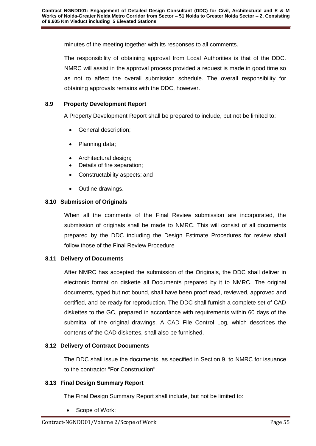minutes of the meeting together with its responses to all comments.

The responsibility of obtaining approval from Local Authorities is that of the DDC. NMRC will assist in the approval process provided a request is made in good time so as not to affect the overall submission schedule. The overall responsibility for obtaining approvals remains with the DDC, however.

# <span id="page-55-0"></span>**8.9 Property Development Report**

A Property Development Report shall be prepared to include, but not be limited to:

- General description;
- Planning data;
- Architectural design;
- Details of fire separation;
- Constructability aspects; and
- Outline drawings.

# <span id="page-55-1"></span>**8.10 Submission of Originals**

When all the comments of the Final Review submission are incorporated, the submission of originals shall be made to NMRC. This will consist of all documents prepared by the DDC including the Design Estimate Procedures for review shall follow those of the Final Review Procedure

# <span id="page-55-2"></span>**8.11 Delivery of Documents**

After NMRC has accepted the submission of the Originals, the DDC shall deliver in electronic format on diskette all Documents prepared by it to NMRC. The original documents, typed but not bound, shall have been proof read, reviewed, approved and certified, and be ready for reproduction. The DDC shall furnish a complete set of CAD diskettes to the GC, prepared in accordance with requirements within 60 days of the submittal of the original drawings. A CAD File Control Log, which describes the contents of the CAD diskettes, shall also be furnished.

# <span id="page-55-3"></span>**8.12 Delivery of Contract Documents**

The DDC shall issue the documents, as specified in Section 9, to NMRC for issuance to the contractor "For Construction".

# <span id="page-55-4"></span>**8.13 Final Design Summary Report**

The Final Design Summary Report shall include, but not be limited to:

Scope of Work;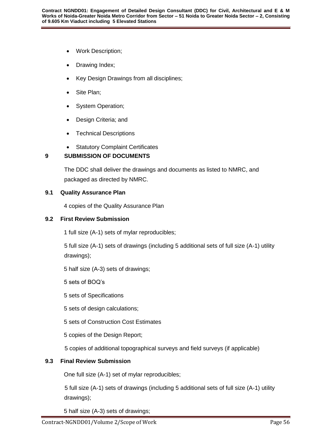- Work Description;
- Drawing Index;
- Key Design Drawings from all disciplines;
- Site Plan;
- System Operation;
- Design Criteria; and
- Technical Descriptions
- Statutory Complaint Certificates

# <span id="page-56-0"></span>**9 SUBMISSION OF DOCUMENTS**

The DDC shall deliver the drawings and documents as listed to NMRC, and packaged as directed by NMRC.

### <span id="page-56-1"></span>**9.1 Quality Assurance Plan**

4 copies of the Quality Assurance Plan

### <span id="page-56-2"></span>**9.2 First Review Submission**

1 full size (A-1) sets of mylar reproducibles;

5 full size (A-1) sets of drawings (including 5 additional sets of full size (A-1) utility drawings);

5 half size (A-3) sets of drawings;

5 sets of BOQ's

5 sets of Specifications

5 sets of design calculations;

5 sets of Construction Cost Estimates

5 copies of the Design Report;

5 copies of additional topographical surveys and field surveys (if applicable)

# <span id="page-56-3"></span>**9.3 Final Review Submission**

One full size (A-1) set of mylar reproducibles;

5 full size (A-1) sets of drawings (including 5 additional sets of full size (A-1) utility drawings);

5 half size (A-3) sets of drawings;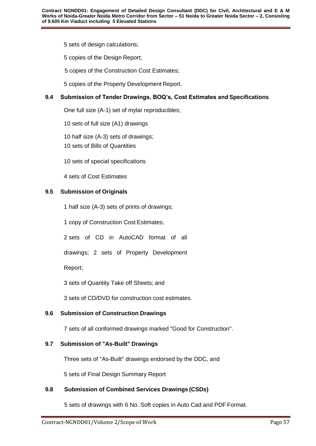5 sets of design calculations;

5 copies of the Design Report;

5 copies of the Construction Cost Estimates;

5 copies of the Property Development Report.

# **9.4 Submission of Tender Drawings, BOQ's, Cost Estimates and Specifications**

One full size (A-1) set of mylar reproducibles;

10 sets of full size (A1) drawings

10 half size (A-3) sets of drawings;

10 sets of Bills of Quantities

10 sets of special specifications

4 sets of Cost Estimates

### <span id="page-57-0"></span>**9.5 Submission of Originals**

1 half size (A-3) sets of prints of drawings;

1 copy of Construction Cost Estimates;

2 sets of CD in AutoCAD format of all

drawings; 2 sets of Property Development

Report;

3 sets of Quantity Take off Sheets; and

3 sets of CD/DVD for construction cost estimates.

# <span id="page-57-1"></span>**9.6 Submission of Construction Drawings**

7 sets of all conformed drawings marked "Good for Construction".

#### <span id="page-57-2"></span>**9.7 Submission of "As-Built" Drawings**

Three sets of "As-Built" drawings endorsed by the DDC, and

5 sets of Final Design Summary Report

# <span id="page-57-3"></span>**9.8 Submission of Combined Services Drawings (CSDs)**

5 sets of drawings with 6 No. Soft copies in Auto Cad and PDF Format.